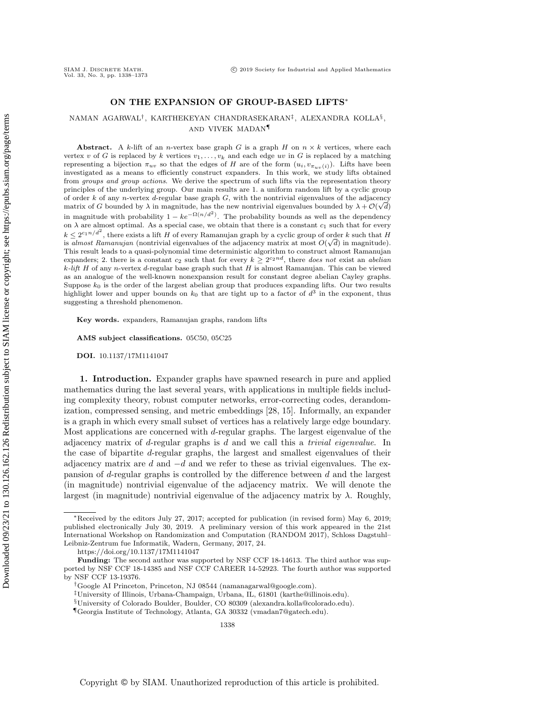## ON THE EXPANSION OF GROUP-BASED LIFTS∗

NAMAN AGARWAL† , KARTHEKEYAN CHANDRASEKARAN‡ , ALEXANDRA KOLLA§ , AND VIVEK MADAN¶

Abstract. A k-lift of an n-vertex base graph G is a graph H on  $n \times k$  vertices, where each vertex v of G is replaced by k vertices  $v_1, \ldots, v_k$  and each edge uv in G is replaced by a matching representing a bijection  $\pi_{uv}$  so that the edges of H are of the form  $(u_i, v_{\pi_{uv}(i)})$ . Lifts have been investigated as a means to efficiently construct expanders. In this work, we study lifts obtained from groups and group actions. We derive the spectrum of such lifts via the representation theory principles of the underlying group. Our main results are 1. a uniform random lift by a cyclic group of order k of any n-vertex d-regular base graph  $G$ , with the nontrivial eigenvalues of the adjacency matrix of G bounded by  $\lambda$  in magnitude, has the new nontrivial eigenvalues bounded by  $\lambda + \mathcal{O}(\sqrt{d})$ in magnitude with probability  $1 - ke^{-\Omega(n/d^2)}$ . The probability bounds as well as the dependency on  $\lambda$  are almost optimal. As a special case, we obtain that there is a constant  $c_1$  such that for every  $k \leq 2^{c_1 n/d^2}$ , there exists a lift H of every Ramanujan graph by a cyclic group of order k such that H is almost Ramanujan (nontrivial eigenvalues of the adjacency matrix at most  $O(\sqrt{d})$  in magnitude). This result leads to a quasi-polynomial time deterministic algorithm to construct almost Ramanujan expanders; 2. there is a constant  $c_2$  such that for every  $k \geq 2^{c_2nd}$ , there does not exist an abelian  $k$ -lift H of any n-vertex d-regular base graph such that H is almost Ramanujan. This can be viewed as an analogue of the well-known nonexpansion result for constant degree abelian Cayley graphs. Suppose  $k_0$  is the order of the largest abelian group that produces expanding lifts. Our two results highlight lower and upper bounds on  $k_0$  that are tight up to a factor of  $d^3$  in the exponent, thus suggesting a threshold phenomenon.

Key words. expanders, Ramanujan graphs, random lifts

AMS subject classifications. 05C50, 05C25

DOI. 10.1137/17M1141047

1. Introduction. Expander graphs have spawned research in pure and applied mathematics during the last several years, with applications in multiple fields including complexity theory, robust computer networks, error-correcting codes, derandomization, compressed sensing, and metric embeddings [\[28,](#page-35-0) [15\]](#page-34-0). Informally, an expander is a graph in which every small subset of vertices has a relatively large edge boundary. Most applications are concerned with d-regular graphs. The largest eigenvalue of the adjacency matrix of  $d$ -regular graphs is  $d$  and we call this a *trivial eigenvalue*. In the case of bipartite d-regular graphs, the largest and smallest eigenvalues of their adjacency matrix are d and  $-d$  and we refer to these as trivial eigenvalues. The expansion of d-regular graphs is controlled by the difference between d and the largest (in magnitude) nontrivial eigenvalue of the adjacency matrix. We will denote the largest (in magnitude) nontrivial eigenvalue of the adjacency matrix by  $\lambda$ . Roughly,

<sup>∗</sup>Received by the editors July 27, 2017; accepted for publication (in revised form) May 6, 2019; published electronically July 30, 2019. A preliminary version of this work appeared in the 21st International Workshop on Randomization and Computation (RANDOM 2017), Schloss Dagstuhl– Leibniz-Zentrum fue Informatik, Wadern, Germany, 2017, 24.

<https://doi.org/10.1137/17M1141047>

Funding: The second author was supported by NSF CCF 18-14613. The third author was supported by NSF CCF 18-14385 and NSF CCF CAREER 14-52923. The fourth author was supported by NSF CCF 13-19376.

<sup>†</sup>Google AI Princeton, Princeton, NJ 08544 [\(namanagarwal@google.com\)](mailto:namanagarwal@google.com).

<sup>‡</sup>University of Illinois, Urbana-Champaign, Urbana, IL, 61801 [\(karthe@illinois.edu\)](mailto:karthe@illinois.edu).

<sup>§</sup>University of Colorado Boulder, Boulder, CO 80309 [\(alexandra.kolla@colorado.edu\)](mailto:alexandra.kolla@colorado.edu).

<sup>¶</sup>Georgia Institute of Technology, Atlanta, GA 30332 [\(vmadan7@gatech.edu\)](mailto:vmadan7@gatech.edu).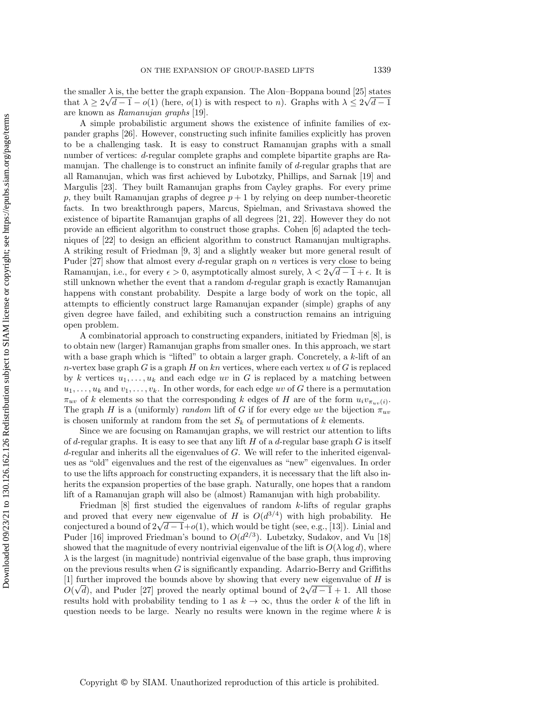the smaller  $\lambda$  is, the better the graph expansion. The Alon–Boppana bound [\[25\]](#page-35-1) states that  $\lambda \ge 2\sqrt{d-1} - o(1)$  (here,  $o(1)$  is with respect to n). Graphs with  $\lambda \le 2\sqrt{d-1}$ are known as Ramanujan graphs [\[19\]](#page-34-1).

A simple probabilistic argument shows the existence of infinite families of expander graphs [\[26\]](#page-35-2). However, constructing such infinite families explicitly has proven to be a challenging task. It is easy to construct Ramanujan graphs with a small number of vertices: d-regular complete graphs and complete bipartite graphs are Ramanujan. The challenge is to construct an infinite family of d-regular graphs that are all Ramanujan, which was first achieved by Lubotzky, Phillips, and Sarnak [\[19\]](#page-34-1) and Margulis [\[23\]](#page-35-3). They built Ramanujan graphs from Cayley graphs. For every prime p, they built Ramanujan graphs of degree  $p + 1$  by relying on deep number-theoretic facts. In two breakthrough papers, Marcus, Spielman, and Srivastava showed the existence of bipartite Ramanujan graphs of all degrees [\[21,](#page-34-2) [22\]](#page-34-3). However they do not provide an efficient algorithm to construct those graphs. Cohen [\[6\]](#page-34-4) adapted the techniques of [\[22\]](#page-34-3) to design an efficient algorithm to construct Ramanujan multigraphs. A striking result of Friedman [\[9,](#page-34-5) [3\]](#page-34-6) and a slightly weaker but more general result of Puder  $[27]$  show that almost every d-regular graph on n vertices is very close to being Ramanujan, i.e., for every  $\epsilon > 0$ , asymptotically almost surely,  $\lambda < 2\sqrt{d-1} + \epsilon$ . It is still unknown whether the event that a random d-regular graph is exactly Ramanujan happens with constant probability. Despite a large body of work on the topic, all attempts to efficiently construct large Ramanujan expander (simple) graphs of any given degree have failed, and exhibiting such a construction remains an intriguing open problem.

A combinatorial approach to constructing expanders, initiated by Friedman [\[8\]](#page-34-7), is to obtain new (larger) Ramanujan graphs from smaller ones. In this approach, we start with a base graph which is "lifted" to obtain a larger graph. Concretely, a  $k$ -lift of an n-vertex base graph G is a graph H on kn vertices, where each vertex u of G is replaced by k vertices  $u_1, \ldots, u_k$  and each edge uv in G is replaced by a matching between  $u_1, \ldots, u_k$  and  $v_1, \ldots, v_k$ . In other words, for each edge uv of G there is a permutation  $\pi_{uv}$  of k elements so that the corresponding k edges of H are of the form  $u_i v_{\pi_{uv}(i)}$ . The graph H is a (uniformly) random lift of G if for every edge uv the bijection  $\pi_{uv}$ is chosen uniformly at random from the set  $S_k$  of permutations of k elements.

Since we are focusing on Ramanujan graphs, we will restrict our attention to lifts of d-regular graphs. It is easy to see that any lift H of a d-regular base graph  $G$  is itself  $d$ -regular and inherits all the eigenvalues of  $G$ . We will refer to the inherited eigenvalues as "old" eigenvalues and the rest of the eigenvalues as "new" eigenvalues. In order to use the lifts approach for constructing expanders, it is necessary that the lift also inherits the expansion properties of the base graph. Naturally, one hopes that a random lift of a Ramanujan graph will also be (almost) Ramanujan with high probability.

Friedman [\[8\]](#page-34-7) first studied the eigenvalues of random k-lifts of regular graphs and proved that every new eigenvalue of H is  $O(d^{3/4})$  with high probability. He conjectured a bound of  $2\sqrt{d-1}+o(1)$ , which would be tight (see, e.g., [\[13\]](#page-34-8)). Linial and Puder [\[16\]](#page-34-9) improved Friedman's bound to  $O(d^{2/3})$ . Lubetzky, Sudakov, and Vu [\[18\]](#page-34-10) showed that the magnitude of every nontrivial eigenvalue of the lift is  $O(\lambda \log d)$ , where  $\lambda$  is the largest (in magnitude) nontrivial eigenvalue of the base graph, thus improving on the previous results when  $G$  is significantly expanding. Adarrio-Berry and Griffiths [\[1\]](#page-34-11) further improved the bounds above by showing that every new eigenvalue of H is  $O(\sqrt{d})$ , and Puder [\[27\]](#page-35-4) proved the nearly optimal bound of  $2\sqrt{d-1}+1$ . All those results hold with probability tending to 1 as  $k \to \infty$ , thus the order k of the lift in question needs to be large. Nearly no results were known in the regime where  $k$  is

Copyright © by SIAM. Unauthorized reproduction of this article is prohibited.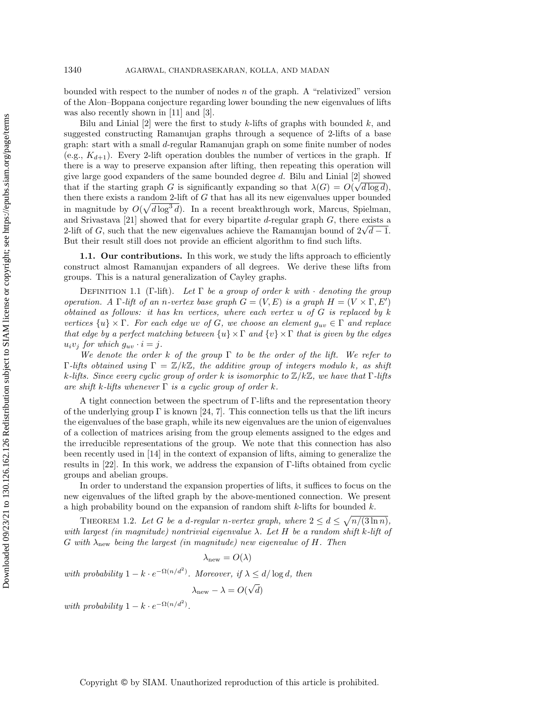bounded with respect to the number of nodes  $n$  of the graph. A "relativized" version of the Alon–Boppana conjecture regarding lower bounding the new eigenvalues of lifts was also recently shown in [\[11\]](#page-34-12) and [\[3\]](#page-34-6).

Bilu and Linial  $[2]$  were the first to study k-lifts of graphs with bounded k, and suggested constructing Ramanujan graphs through a sequence of 2-lifts of a base graph: start with a small d-regular Ramanujan graph on some finite number of nodes (e.g.,  $K_{d+1}$ ). Every 2-lift operation doubles the number of vertices in the graph. If there is a way to preserve expansion after lifting, then repeating this operation will give large good expanders of the same bounded degree  $d$ . Bilu and Linial [\[2\]](#page-34-13) showed that if the starting graph G is significantly expanding so that  $\lambda(G) = O(\sqrt{d \log d})$ , then there exists a random 2-lift of G that has all its new eigenvalues upper bounded in magnitude by  $O(\sqrt{d \log^3 d})$ . In a recent breakthrough work, Marcus, Spielman, and Srivastava [\[21\]](#page-34-2) showed that for every bipartite  $d$ -regular graph  $G$ , there exists a 2-lift of G, such that the new eigenvalues achieve the Ramanujan bound of  $2\sqrt{d-1}$ . But their result still does not provide an efficient algorithm to find such lifts.

1.1. Our contributions. In this work, we study the lifts approach to efficiently construct almost Ramanujan expanders of all degrees. We derive these lifts from groups. This is a natural generalization of Cayley graphs.

DEFINITION 1.1 (Γ-lift). Let  $\Gamma$  be a group of order k with  $\cdot$  denoting the group operation. A  $\Gamma$ -lift of an n-vertex base graph  $G = (V, E)$  is a graph  $H = (V \times \Gamma, E')$ obtained as follows: it has kn vertices, where each vertex  $u$  of  $G$  is replaced by  $k$ vertices  $\{u\}\times\Gamma$ . For each edge uv of G, we choose an element  $g_{uv}\in\Gamma$  and replace that edge by a perfect matching between  $\{u\}\times\Gamma$  and  $\{v\}\times\Gamma$  that is given by the edges  $u_i v_j$  for which  $g_{uv} \cdot i = j$ .

We denote the order k of the group  $\Gamma$  to be the order of the lift. We refer to  $\Gamma$ -lifts obtained using  $\Gamma = \mathbb{Z}/k\mathbb{Z}$ , the additive group of integers modulo k, as shift k-lifts. Since every cyclic group of order k is isomorphic to  $\mathbb{Z}/k\mathbb{Z}$ , we have that  $\Gamma$ -lifts are shift k-lifts whenever  $\Gamma$  is a cyclic group of order k.

A tight connection between the spectrum of Γ-lifts and the representation theory of the underlying group  $\Gamma$  is known [\[24,](#page-35-5) [7\]](#page-34-14). This connection tells us that the lift incurs the eigenvalues of the base graph, while its new eigenvalues are the union of eigenvalues of a collection of matrices arising from the group elements assigned to the edges and the irreducible representations of the group. We note that this connection has also been recently used in [\[14\]](#page-34-15) in the context of expansion of lifts, aiming to generalize the results in [\[22\]](#page-34-3). In this work, we address the expansion of Γ-lifts obtained from cyclic groups and abelian groups.

In order to understand the expansion properties of lifts, it suffices to focus on the new eigenvalues of the lifted graph by the above-mentioned connection. We present a high probability bound on the expansion of random shift  $k$ -lifts for bounded  $k$ .

<span id="page-2-0"></span>THEOREM 1.2. Let G be a d-regular n-vertex graph, where  $2 \leq d \leq \sqrt{n/(3 \ln n)}$ , with largest (in magnitude) nontrivial eigenvalue  $\lambda$ . Let H be a random shift k-lift of G with  $\lambda_{\text{new}}$  being the largest (in magnitude) new eigenvalue of H. Then

 $\lambda_{\text{new}} = O(\lambda)$ 

with probability  $1 - k \cdot e^{-\Omega(n/d^2)}$ . Moreover, if  $\lambda \le d/\log d$ , then

$$
\lambda_{\text{new}}-\lambda=O(\sqrt{d})
$$

with probability  $1 - k \cdot e^{-\Omega(n/d^2)}$ .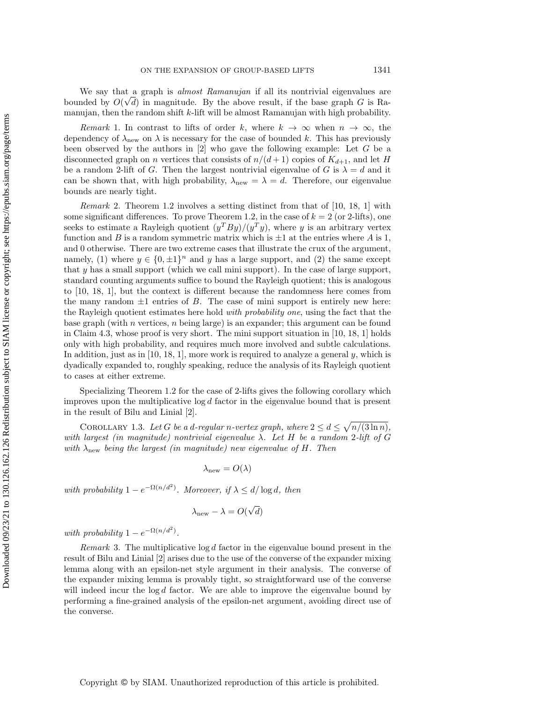We say that a graph is *almost Ramanujan* if all its nontrivial eigenvalues are bounded by  $O(\sqrt{d})$  in magnitude. By the above result, if the base graph G is Ramanujan, then the random shift k-lift will be almost Ramanujan with high probability.

Remark 1. In contrast to lifts of order k, where  $k \to \infty$  when  $n \to \infty$ , the dependency of  $\lambda_{\text{new}}$  on  $\lambda$  is necessary for the case of bounded k. This has previously been observed by the authors in [\[2\]](#page-34-13) who gave the following example: Let G be a disconnected graph on *n* vertices that consists of  $n/(d+1)$  copies of  $K_{d+1}$ , and let H be a random 2-lift of G. Then the largest nontrivial eigenvalue of G is  $\lambda = d$  and it can be shown that, with high probability,  $\lambda_{\text{new}} = \lambda = d$ . Therefore, our eigenvalue bounds are nearly tight.

Remark 2. Theorem [1.2](#page-2-0) involves a setting distinct from that of [\[10,](#page-34-16) [18,](#page-34-10) [1\]](#page-34-11) with some significant differences. To prove Theorem [1.2,](#page-2-0) in the case of  $k = 2$  (or 2-lifts), one seeks to estimate a Rayleigh quotient  $(y^TBy)/(y^Ty)$ , where y is an arbitrary vertex function and B is a random symmetric matrix which is  $\pm 1$  at the entries where A is 1, and 0 otherwise. There are two extreme cases that illustrate the crux of the argument, namely, (1) where  $y \in \{0, \pm 1\}^n$  and y has a large support, and (2) the same except that y has a small support (which we call mini support). In the case of large support, standard counting arguments suffice to bound the Rayleigh quotient; this is analogous to [\[10,](#page-34-16) [18,](#page-34-10) [1\]](#page-34-11), but the context is different because the randomness here comes from the many random  $\pm 1$  entries of B. The case of mini support is entirely new here: the Rayleigh quotient estimates here hold with probability one, using the fact that the base graph (with n vertices,  $n$  being large) is an expander; this argument can be found in Claim [4.3,](#page-12-0) whose proof is very short. The mini support situation in [\[10,](#page-34-16) [18,](#page-34-10) [1\]](#page-34-11) holds only with high probability, and requires much more involved and subtle calculations. In addition, just as in  $[10, 18, 1]$  $[10, 18, 1]$  $[10, 18, 1]$ , more work is required to analyze a general y, which is dyadically expanded to, roughly speaking, reduce the analysis of its Rayleigh quotient to cases at either extreme.

Specializing Theorem [1.2](#page-2-0) for the case of 2-lifts gives the following corollary which improves upon the multiplicative  $\log d$  factor in the eigenvalue bound that is present in the result of Bilu and Linial [\[2\]](#page-34-13).

<span id="page-3-0"></span>COROLLARY 1.3. Let G be a d-regular n-vertex graph, where  $2 \le d \le \sqrt{n/(3 \ln n)}$ , with largest (in magnitude) nontrivial eigenvalue  $\lambda$ . Let H be a random 2-lift of G with  $\lambda_{\text{new}}$  being the largest (in magnitude) new eigenvalue of H. Then

$$
\lambda_{\text{new}} = O(\lambda)
$$

with probability  $1 - e^{-\Omega(n/d^2)}$ . Moreover, if  $\lambda \le d/\log d$ , then

$$
\lambda_{\text{new}} - \lambda = O(\sqrt{d})
$$

with probability  $1 - e^{-\Omega(n/d^2)}$ .

*Remark* 3. The multiplicative  $\log d$  factor in the eigenvalue bound present in the result of Bilu and Linial [\[2\]](#page-34-13) arises due to the use of the converse of the expander mixing lemma along with an epsilon-net style argument in their analysis. The converse of the expander mixing lemma is provably tight, so straightforward use of the converse will indeed incur the  $log d$  factor. We are able to improve the eigenvalue bound by performing a fine-grained analysis of the epsilon-net argument, avoiding direct use of the converse.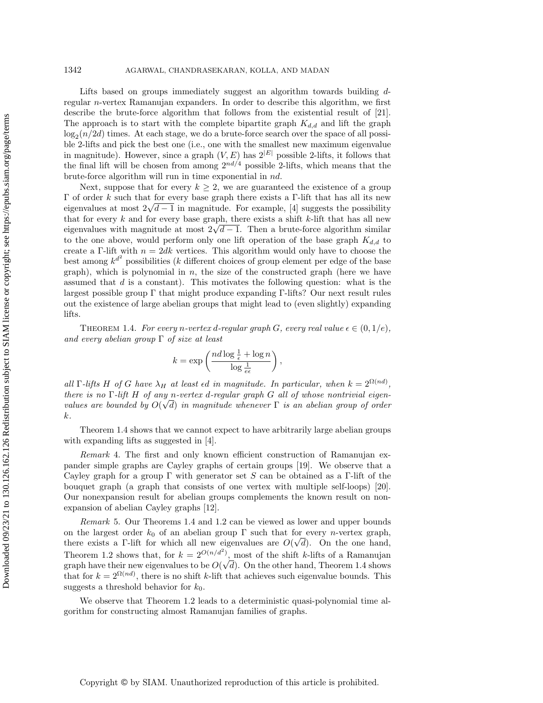Lifts based on groups immediately suggest an algorithm towards building dregular n-vertex Ramanujan expanders. In order to describe this algorithm, we first describe the brute-force algorithm that follows from the existential result of [\[21\]](#page-34-2). The approach is to start with the complete bipartite graph  $K_{d,d}$  and lift the graph  $\log_2(n/2d)$  times. At each stage, we do a brute-force search over the space of all possible 2-lifts and pick the best one (i.e., one with the smallest new maximum eigenvalue in magnitude). However, since a graph  $(V, E)$  has  $2^{|E|}$  possible 2-lifts, it follows that the final lift will be chosen from among  $2^{nd/4}$  possible 2-lifts, which means that the brute-force algorithm will run in time exponential in nd.

Next, suppose that for every  $k \geq 2$ , we are guaranteed the existence of a group Γ of order k such that for every base graph there exists a Γ-lift that has all its new eigenvalues at most  $2\sqrt{d-1}$  in magnitude. For example, [\[4\]](#page-34-17) suggests the possibility that for every  $k$  and for every base graph, there exists a shift  $k$ -lift that has all new eigenvalues with magnitude at most  $2\sqrt{d-1}$ . Then a brute-force algorithm similar to the one above, would perform only one lift operation of the base graph  $K_{d,d}$  to create a Γ-lift with  $n = 2dk$  vertices. This algorithm would only have to choose the best among  $k^{d^2}$  possibilities (k different choices of group element per edge of the base graph), which is polynomial in  $n$ , the size of the constructed graph (here we have assumed that  $d$  is a constant). This motivates the following question: what is the largest possible group  $\Gamma$  that might produce expanding  $\Gamma$ -lifts? Our next result rules out the existence of large abelian groups that might lead to (even slightly) expanding lifts.

<span id="page-4-0"></span>THEOREM 1.4. For every n-vertex d-regular graph G, every real value  $\epsilon \in (0,1/e)$ , and every abelian group  $\Gamma$  of size at least

$$
k = \exp\left(\frac{nd\log\frac{1}{\epsilon} + \log n}{\log\frac{1}{e\epsilon}}\right)
$$

,

all  $\Gamma$ -lifts H of G have  $\lambda_H$  at least  $\epsilon d$  in magnitude. In particular, when  $k = 2^{\Omega(nd)}$ , there is no  $\Gamma$ -lift H of any n-vertex d-regular graph G all of whose nontrivial eigenvalues are bounded by  $O(\sqrt{d})$  in magnitude whenever  $\Gamma$  is an abelian group of order k.

Theorem [1.4](#page-4-0) shows that we cannot expect to have arbitrarily large abelian groups with expanding lifts as suggested in [\[4\]](#page-34-17).

Remark 4. The first and only known efficient construction of Ramanujan expander simple graphs are Cayley graphs of certain groups [\[19\]](#page-34-1). We observe that a Cayley graph for a group  $\Gamma$  with generator set S can be obtained as a  $\Gamma$ -lift of the bouquet graph (a graph that consists of one vertex with multiple self-loops) [\[20\]](#page-34-18). Our nonexpansion result for abelian groups complements the known result on nonexpansion of abelian Cayley graphs [\[12\]](#page-34-19).

Remark 5. Our Theorems [1.4](#page-4-0) and [1.2](#page-2-0) can be viewed as lower and upper bounds on the largest order  $k_0$  of an abelian group  $\Gamma$  such that for every *n*-vertex graph, there exists a Γ-lift for which all new eigenvalues are  $O(\sqrt{d})$ . On the one hand, Theorem [1.2](#page-2-0) shows that, for  $k = 2^{O(n/d^2)}$ , most of the shift k-lifts of a Ramanujan graph have their new eigenvalues to be  $O(\sqrt{d})$ . On the other hand, Theorem [1.4](#page-4-0) shows that for  $k = 2^{\Omega(nd)}$ , there is no shift k-lift that achieves such eigenvalue bounds. This suggests a threshold behavior for  $k_0$ .

We observe that Theorem [1.2](#page-2-0) leads to a deterministic quasi-polynomial time algorithm for constructing almost Ramanujan families of graphs.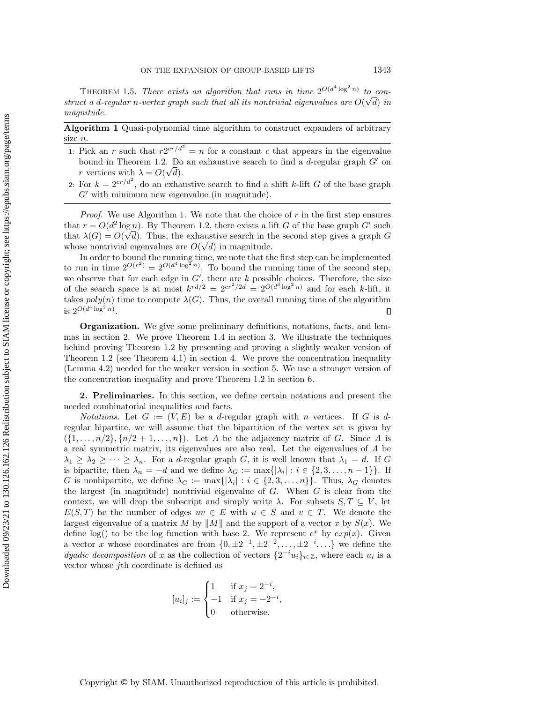THEOREM 1.5. There exists an algorithm that runs in time  $2^{O(d^4 \log^2 n)}$  to construct a d-regular n-vertex graph such that all its nontrivial eigenvalues are  $O(\sqrt{d})$  in magnitude.

Algorithm 1 Quasi-polynomial time algorithm to construct expanders of arbitrary size  $n$ .

- <span id="page-5-0"></span>1: Pick an r such that  $r2^{cr/d^2} = n$  for a constant c that appears in the eigenvalue bound in Theorem [1.2.](#page-2-0) Do an exhaustive search to find a  $d$ -regular graph  $G'$  on r vertices with  $\lambda = O(\sqrt{d}).$
- 2: For  $k = 2^{cr/d^2}$ , do an exhaustive search to find a shift k-lift G of the base graph  $G'$  with minimum new eigenvalue (in magnitude).

*Proof.* We use Algorithm [1.](#page-5-0) We note that the choice of  $r$  in the first step ensures that  $r = O(d^2 \log n)$ . By Theorem [1.2,](#page-2-0) there exists a lift G of the base graph G' such that  $\lambda(G) = O(\sqrt{d})$ . Thus, the exhaustive search in the second step gives a graph G whose nontrivial eigenvalues are  $O(\sqrt{d})$  in magnitude.

In order to bound the running time, we note that the first step can be implemented to run in time  $2^{O(r^2)} = 2^{O(d^4 \log^2 n)}$ . To bound the running time of the second step, we observe that for each edge in  $G'$ , there are k possible choices. Therefore, the size of the search space is at most  $k^{rd/2} = 2^{cr^2/2d} = 2^{O(d^3 \log^2 n)}$  and for each k-lift, it takes  $poly(n)$  time to compute  $\lambda(G)$ . Thus, the overall running time of the algorithm is  $2^{O(d^4 \log^2 n)}$ .  $\Box$ 

Organization. We give some preliminary definitions, notations, facts, and lemmas in section [2.](#page-5-1) We prove Theorem [1.4](#page-4-0) in section [3.](#page-10-0) We illustrate the techniques behind proving Theorem [1.2](#page-2-0) by presenting and proving a slightly weaker version of Theorem [1.2](#page-2-0) (see Theorem [4.1\)](#page-11-0) in section [4.](#page-11-1) We prove the concentration inequality (Lemma [4.2\)](#page-11-2) needed for the weaker version in section [5.](#page-15-0) We use a stronger version of the concentration inequality and prove Theorem [1.2](#page-2-0) in section [6.](#page-27-0)

<span id="page-5-1"></span>2. Preliminaries. In this section, we define certain notations and present the needed combinatorial inequalities and facts.

*Notations.* Let  $G := (V, E)$  be a d-regular graph with n vertices. If G is dregular bipartite, we will assume that the bipartition of the vertex set is given by  $({1, \ldots, n/2}, {n/2+1, \ldots, n})$ . Let A be the adjacency matrix of G. Since A is a real symmetric matrix, its eigenvalues are also real. Let the eigenvalues of A be  $\lambda_1 \geq \lambda_2 \geq \cdots \geq \lambda_n$ . For a d-regular graph G, it is well known that  $\lambda_1 = d$ . If G is bipartite, then  $\lambda_n = -d$  and we define  $\lambda_G := \max\{|\lambda_i| : i \in \{2, 3, ..., n-1\}\}\.$  If G is nonbipartite, we define  $\lambda_G := \max\{|\lambda_i| : i \in \{2, 3, ..., n\}\}\.$  Thus,  $\lambda_G$  denotes the largest (in magnitude) nontrivial eigenvalue of  $G$ . When  $G$  is clear from the context, we will drop the subscript and simply write  $\lambda$ . For subsets  $S, T \subseteq V$ , let  $E(S, T)$  be the number of edges  $uv \in E$  with  $u \in S$  and  $v \in T$ . We denote the largest eigenvalue of a matrix M by  $||M||$  and the support of a vector x by  $S(x)$ . We define log() to be the log function with base 2. We represent  $e^x$  by  $exp(x)$ . Given a vector x whose coordinates are from  $\{0, \pm 2^{-1}, \pm 2^{-2}, \dots, \pm 2^{-i}, \dots\}$  we define the dyadic decomposition of x as the collection of vectors  $\{2^{-i}u_i\}_{i\in\mathbb{Z}}$ , where each  $u_i$  is a vector whose jth coordinate is defined as

$$
[u_i]_j := \begin{cases} 1 & \text{if } x_j = 2^{-i}, \\ -1 & \text{if } x_j = -2^{-i}, \\ 0 & \text{otherwise.} \end{cases}
$$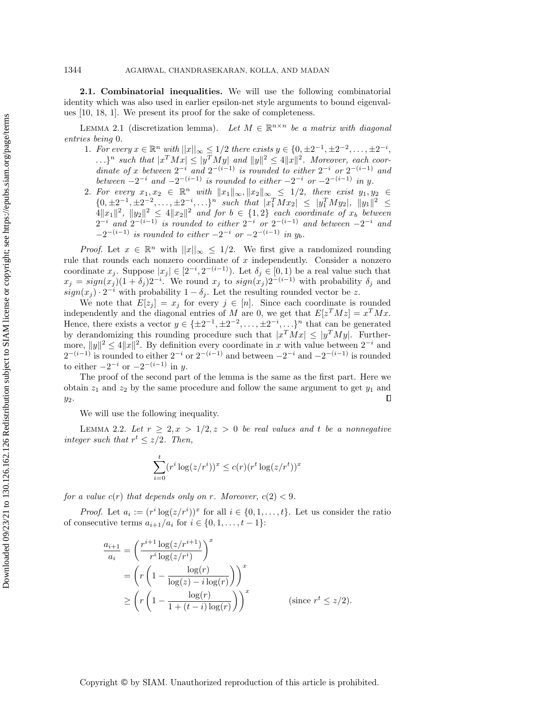2.1. Combinatorial inequalities. We will use the following combinatorial identity which was also used in earlier epsilon-net style arguments to bound eigenvalues [\[10,](#page-34-16) [18,](#page-34-10) [1\]](#page-34-11). We present its proof for the sake of completeness.

<span id="page-6-0"></span>LEMMA 2.1 (discretization lemma). Let  $M \in \mathbb{R}^{n \times n}$  be a matrix with diagonal entries being 0.

- 1. For every  $x \in \mathbb{R}^n$  with  $||x||_{\infty} \le 1/2$  there exists  $y \in \{0, \pm 2^{-1}, \pm 2^{-2}, \dots, \pm 2^{-i}, \dots, \pm 2^{-i}\}$  $\ldots$ }<sup>n</sup> such that  $|x^T Mx| \le |y^T M y|$  and  $||y||^2 \le 4||x||^2$ . Moreover, each coordinate of x between  $2^{-i}$  and  $2^{-(i-1)}$  is rounded to either  $2^{-i}$  or  $2^{-(i-1)}$  and between  $-2^{-i}$  and  $-2^{-(i-1)}$  is rounded to either  $-2^{-i}$  or  $-2^{-(i-1)}$  in y.
- 2. For every  $x_1, x_2 \in \mathbb{R}^n$  with  $||x_1||_{\infty}$ ,  $||x_2||_{\infty} \leq 1/2$ , there exist  $y_1, y_2 \in$  $\{0, \pm 2^{-1}, \pm 2^{-2}, \ldots, \pm 2^{-i}, \ldots\}^n$  such that  $|x_1^T M x_2| \le |y_1^T M y_2|, \|y_1\|^2 \le$  $\|A\|x_1\|^2$ ,  $\|y_2\|^2 \le 4\|x_2\|^2$  and for  $b \in \{1,2\}$  each coordinate of  $x_b$  between  $2^{-i}$  and  $2^{-(i-1)}$  is rounded to either  $2^{-i}$  or  $2^{-(i-1)}$  and between  $-2^{-i}$  and  $-2^{-(i-1)}$  is rounded to either  $-2^{-i}$  or  $-2^{-(i-1)}$  in  $y_b$ .

*Proof.* Let  $x \in \mathbb{R}^n$  with  $||x||_{\infty} \leq 1/2$ . We first give a randomized rounding rule that rounds each nonzero coordinate of x independently. Consider a nonzero coordinate  $x_j$ . Suppose  $|x_j| \in [2^{-i}, 2^{-(i-1)})$ . Let  $\delta_j \in [0, 1)$  be a real value such that  $x_j = sign(x_j)(1 + \delta_j)2^{-i}$ . We round  $x_j$  to  $sign(x_j)2^{-(i-1)}$  with probability  $\delta_j$  and  $sign(x_j) \cdot 2^{-i}$  with probability  $1 - \delta_j$ . Let the resulting rounded vector be z.

We note that  $E[z_j] = x_j$  for every  $j \in [n]$ . Since each coordinate is rounded independently and the diagonal entries of M are 0, we get that  $E[z^T M z] = x^T M x$ . Hence, there exists a vector  $y \in {\pm 2^{-1}, \pm 2^{-2}, \dots, \pm 2^{-i}, \dots}$ ,  $\frac{1}{x}$  that can be generated by derandomizing this rounding procedure such that  $|x^T M x| \le |y^T M y|$ . Furthermore,  $||y||^2 \le 4||x||^2$ . By definition every coordinate in x with value between  $2^{-i}$  and  $2^{-(i-1)}$  is rounded to either  $2^{-i}$  or  $2^{-(i-1)}$  and between  $-2^{-i}$  and  $-2^{-(i-1)}$  is rounded to either  $-2^{-i}$  or  $-2^{-(i-1)}$  in y.

The proof of the second part of the lemma is the same as the first part. Here we obtain  $z_1$  and  $z_2$  by the same procedure and follow the same argument to get  $y_1$  and  $\Box$  $y_2$ .

We will use the following inequality.

<span id="page-6-1"></span>LEMMA 2.2. Let  $r \geq 2, x > 1/2, z > 0$  be real values and t be a nonnegative integer such that  $r^t \leq z/2$ . Then,

$$
\sum_{i=0}^{t} (r^i \log(z/r^i))^x \le c(r) (r^t \log(z/r^t))^x
$$

for a value  $c(r)$  that depends only on r. Moreover,  $c(2) < 9$ .

*Proof.* Let  $a_i := (r^i \log(z/r^i))^x$  for all  $i \in \{0, 1, ..., t\}$ . Let us consider the ratio of consecutive terms  $a_{i+1}/a_i$  for  $i \in \{0, 1, \ldots, t-1\}$ :

$$
\frac{a_{i+1}}{a_i} = \left(\frac{r^{i+1}\log(z/r^{i+1})}{r^i\log(z/r^i)}\right)^x
$$
  
= 
$$
\left(r\left(1 - \frac{\log(r)}{\log(z) - i\log(r)}\right)\right)^x
$$
  

$$
\geq \left(r\left(1 - \frac{\log(r)}{1 + (t - i)\log(r)}\right)\right)^x
$$
 (since  $r^t \leq z/2$ ).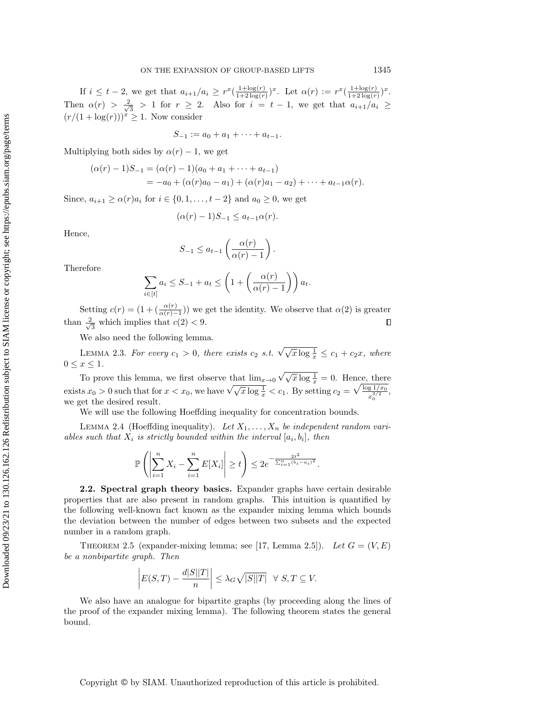If  $i \leq t-2$ , we get that  $a_{i+1}/a_i \geq r^x(\frac{1+\log(r)}{1+2\log(r)}$  $\frac{1+\log(r)}{1+2\log(r)})^x$ . Let  $\alpha(r) := r^x(\frac{1+\log(r)}{1+2\log(r)})$  $\frac{1+\log(r)}{1+2\log(r)})^x.$ Then  $\alpha(r) > \frac{2}{\sqrt{2}}$  $\frac{1}{3}$  > 1 for  $r \geq 2$ . Also for  $i = t - 1$ , we get that  $a_{i+1}/a_i \geq$  $(r/(1 + \log(r)))$ <sup>y</sup>  $\geq 1$ . Now consider

$$
S_{-1} := a_0 + a_1 + \cdots + a_{t-1}.
$$

Multiplying both sides by  $\alpha(r) - 1$ , we get

$$
(\alpha(r)-1)S_{-1} = (\alpha(r)-1)(a_0 + a_1 + \dots + a_{t-1})
$$
  
= -a\_0 + (\alpha(r)a\_0 - a\_1) + (\alpha(r)a\_1 - a\_2) + \dots + a\_{t-1}\alpha(r).

Since,  $a_{i+1} \ge \alpha(r)a_i$  for  $i \in \{0, 1, ..., t-2\}$  and  $a_0 \ge 0$ , we get

$$
(\alpha(r)-1)S_{-1} \le a_{t-1}\alpha(r).
$$

Hence,

$$
S_{-1} \le a_{t-1} \left( \frac{\alpha(r)}{\alpha(r) - 1} \right).
$$

Therefore

$$
\sum_{i \in [t]} a_i \leq S_{-1} + a_t \leq \left(1 + \left(\frac{\alpha(r)}{\alpha(r) - 1}\right)\right) a_t.
$$

Setting  $c(r) = (1 + (\frac{\alpha(r)}{\alpha(r)-1}))$  we get the identity. We observe that  $\alpha(2)$  is greater than  $\frac{2}{\sqrt{2}}$  $\Box$  $\frac{1}{3}$  which implies that  $c(2) < 9$ .

We also need the following lemma.

<span id="page-7-1"></span>LEMMA 2.3. For every  $c_1 > 0$ , there exists  $c_2$  s.t.  $\sqrt{\sqrt{x \log \frac{1}{x}}} \le c_1 + c_2 x$ , where  $0 \leq x \leq 1$ .

To prove this lemma, we first observe that  $\lim_{x\to 0} \sqrt{\sqrt{x} \log \frac{1}{x}} = 0$ . Hence, there exists  $x_0 > 0$  such that for  $x < x_0$ , we have  $\sqrt{\sqrt{x \log \frac{1}{x}}} < c_1$ . By setting  $c_2 = \sqrt{\frac{\log 1/x_0}{x_0^{3/2}}}$  $\frac{g 1/x_0}{x_0^{3/2}},$ we get the desired result.

We will use the following Hoeffding inequality for concentration bounds.

<span id="page-7-0"></span>LEMMA 2.4 (Hoeffding inequality). Let  $X_1, \ldots, X_n$  be independent random variables such that  $X_i$  is strictly bounded within the interval  $[a_i, b_i]$ , then

$$
\mathbb{P}\left(\left|\sum_{i=1}^n X_i - \sum_{i=1}^n E[X_i]\right| \ge t\right) \le 2e^{-\frac{2t^2}{\sum_{i=1}^n (b_i - a_i)^2}}.
$$

2.2. Spectral graph theory basics. Expander graphs have certain desirable properties that are also present in random graphs. This intuition is quantified by the following well-known fact known as the expander mixing lemma which bounds the deviation between the number of edges between two subsets and the expected number in a random graph.

THEOREM 2.5 (expander-mixing lemma; see [\[17,](#page-34-20) Lemma 2.5]). Let  $G = (V, E)$ be a nonbipartite graph. Then

$$
\left| E(S,T) - \frac{d|S||T|}{n} \right| \leq \lambda_G \sqrt{|S||T|} \quad \forall \ S,T \subseteq V.
$$

We also have an analogue for bipartite graphs (by proceeding along the lines of the proof of the expander mixing lemma). The following theorem states the general bound.

Copyright © by SIAM. Unauthorized reproduction of this article is prohibited.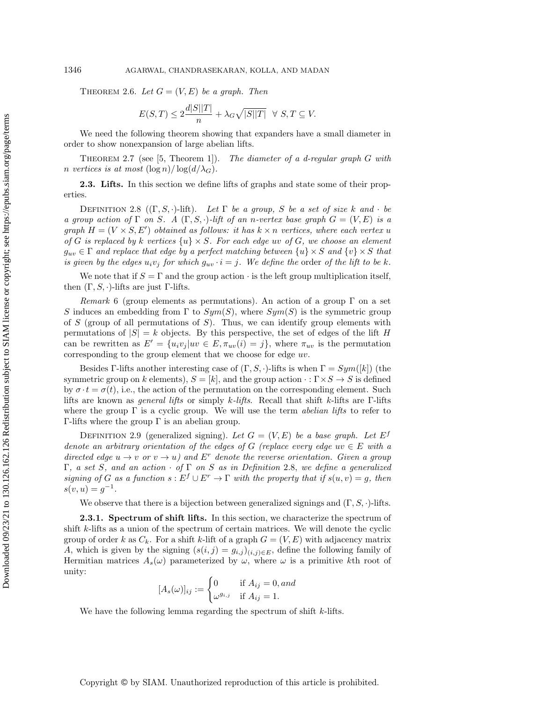<span id="page-8-2"></span>THEOREM 2.6. Let  $G = (V, E)$  be a graph. Then

$$
E(S,T) \le 2\frac{d|S||T|}{n} + \lambda_G \sqrt{|S||T|} \quad \forall \ S, T \subseteq V.
$$

We need the following theorem showing that expanders have a small diameter in order to show nonexpansion of large abelian lifts.

<span id="page-8-1"></span>THEOREM 2.7 (see [\[5,](#page-34-21) Theorem 1]). The diameter of a d-regular graph G with n vertices is at most  $(\log n)/\log(d/\lambda_G)$ .

2.3. Lifts. In this section we define lifts of graphs and state some of their properties.

<span id="page-8-0"></span>DEFINITION 2.8  $((\Gamma, S, \cdot)$ -lift). Let  $\Gamma$  be a group, S be a set of size k and  $\cdot$  be a group action of  $\Gamma$  on S. A  $(\Gamma, S, \cdot)$ -lift of an n-vertex base graph  $G = (V, E)$  is a graph  $H = (V \times S, E')$  obtained as follows: it has  $k \times n$  vertices, where each vertex u of G is replaced by k vertices  $\{u\} \times S$ . For each edge uv of G, we choose an element  $g_{uv} \in \Gamma$  and replace that edge by a perfect matching between  $\{u\} \times S$  and  $\{v\} \times S$  that is given by the edges  $u_i v_j$  for which  $g_{uv} \cdot i = j$ . We define the order of the lift to be k.

We note that if  $S = \Gamma$  and the group action  $\cdot$  is the left group multiplication itself, then  $(\Gamma, S, \cdot)$ -lifts are just Γ-lifts.

Remark 6 (group elements as permutations). An action of a group  $\Gamma$  on a set S induces an embedding from  $\Gamma$  to  $Sym(S)$ , where  $Sym(S)$  is the symmetric group of S (group of all permutations of S). Thus, we can identify group elements with permutations of  $|S| = k$  objects. By this perspective, the set of edges of the lift H can be rewritten as  $E' = \{u_i v_j | uv \in E, \pi_{uv}(i) = j\}$ , where  $\pi_{uv}$  is the permutation corresponding to the group element that we choose for edge uv.

Besides Γ-lifts another interesting case of  $(\Gamma, S, \cdot)$ -lifts is when  $\Gamma = Sym([k])$  (the symmetric group on k elements),  $S = [k]$ , and the group action  $\cdot : \Gamma \times S \to S$  is defined by  $\sigma \cdot t = \sigma(t)$ , i.e., the action of the permutation on the corresponding element. Such lifts are known as *general lifts* or simply  $k\text{-}lifts$ . Recall that shift k-lifts are Γ-lifts where the group  $\Gamma$  is a cyclic group. We will use the term *abelian lifts* to refer to Γ-lifts where the group Γ is an abelian group.

DEFINITION 2.9 (generalized signing). Let  $G = (V, E)$  be a base graph. Let  $E^f$ denote an arbitrary orientation of the edges of G (replace every edge uv  $\in E$  with a directed edge  $u \to v$  or  $v \to u$ ) and E<sup>r</sup> denote the reverse orientation. Given a group Γ, a set S, and an action  $·$  of Γ on S as in Definition [2.8,](#page-8-0) we define a generalized signing of G as a function  $s : E^f \cup E^r \to \Gamma$  with the property that if  $s(u, v) = g$ , then  $s(v, u) = g^{-1}.$ 

We observe that there is a bijection between generalized signings and  $(\Gamma, S, \cdot)$ -lifts.

**2.3.1.** Spectrum of shift lifts. In this section, we characterize the spectrum of shift k-lifts as a union of the spectrum of certain matrices. We will denote the cyclic group of order k as  $C_k$ . For a shift k-lift of a graph  $G = (V, E)$  with adjacency matrix A, which is given by the signing  $(s(i, j) = g_{i,j})_{(i,j)\in E}$ , define the following family of Hermitian matrices  $A_s(\omega)$  parameterized by  $\omega$ , where  $\omega$  is a primitive kth root of unity:

$$
[A_s(\omega)]_{ij} := \begin{cases} 0 & \text{if } A_{ij} = 0, and \\ \omega^{g_{i,j}} & \text{if } A_{ij} = 1. \end{cases}
$$

<span id="page-8-3"></span>We have the following lemma regarding the spectrum of shift  $k$ -lifts.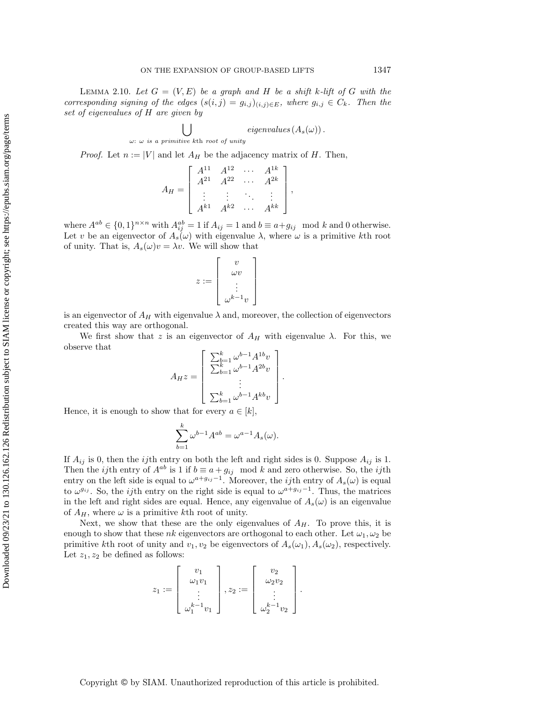LEMMA 2.10. Let  $G = (V, E)$  be a graph and H be a shift k-lift of G with the corresponding signing of the edges  $(s(i, j) = g_{i,j})_{(i,j) \in E}$ , where  $g_{i,j} \in C_k$ . Then the set of eigenvalues of H are given by

$$
\bigcup_{\omega:~\omega~is~ a~ primitive~ kth~root~ of~unity} \textit{eigenvalues} \left(A_s(\omega)\right).
$$

*Proof.* Let  $n := |V|$  and let  $A_H$  be the adjacency matrix of H. Then,

$$
A_H = \begin{bmatrix} A^{11} & A^{12} & \cdots & A^{1k} \\ A^{21} & A^{22} & \cdots & A^{2k} \\ \vdots & \vdots & \ddots & \vdots \\ A^{k1} & A^{k2} & \cdots & A^{kk} \end{bmatrix},
$$

where  $A^{ab} \in \{0,1\}^{n \times n}$  with  $A_{ij}^{ab} = 1$  if  $A_{ij} = 1$  and  $b \equiv a + g_{ij} \mod k$  and 0 otherwise. Let v be an eigenvector of  $A_s(\omega)$  with eigenvalue  $\lambda$ , where  $\omega$  is a primitive kth root of unity. That is,  $A_s(\omega)v = \lambda v$ . We will show that

$$
z := \left[ \begin{array}{c} v \\ \omega v \\ \vdots \\ \omega^{k-1}v \end{array} \right]
$$

is an eigenvector of  $A_H$  with eigenvalue  $\lambda$  and, moreover, the collection of eigenvectors created this way are orthogonal.

We first show that z is an eigenvector of  $A_H$  with eigenvalue  $\lambda$ . For this, we observe that

$$
A_H z = \begin{bmatrix} \sum_{b=1}^k \omega^{b-1} A^{1b} v \\ \sum_{b=1}^k \omega^{b-1} A^{2b} v \\ \vdots \\ \sum_{b=1}^k \omega^{b-1} A^{kb} v \end{bmatrix}
$$

.

Hence, it is enough to show that for every  $a \in [k]$ ,

$$
\sum_{b=1}^{k} \omega^{b-1} A^{ab} = \omega^{a-1} A_s(\omega).
$$

If  $A_{ij}$  is 0, then the *ij*th entry on both the left and right sides is 0. Suppose  $A_{ij}$  is 1. Then the *ij*th entry of  $A^{ab}$  is 1 if  $b \equiv a + g_{ij} \mod k$  and zero otherwise. So, the *ij*th entry on the left side is equal to  $\omega^{a+g_{ij}-1}$ . Moreover, the *ij*th entry of  $A_s(\omega)$  is equal to  $\omega^{g_{ij}}$ . So, the *ij*th entry on the right side is equal to  $\omega^{a+g_{ij}-1}$ . Thus, the matrices in the left and right sides are equal. Hence, any eigenvalue of  $A_s(\omega)$  is an eigenvalue of  $A_H$ , where  $\omega$  is a primitive kth root of unity.

Next, we show that these are the only eigenvalues of  $A_H$ . To prove this, it is enough to show that these nk eigenvectors are orthogonal to each other. Let  $\omega_1, \omega_2$  be primitive kth root of unity and  $v_1, v_2$  be eigenvectors of  $A_s(\omega_1), A_s(\omega_2)$ , respectively. Let  $z_1, z_2$  be defined as follows:

$$
z_1 := \left[\begin{array}{c}v_1\\ \omega_1v_1\\ \vdots\\ \omega_1^{k-1}v_1\end{array}\right], z_2 := \left[\begin{array}{c}v_2\\ \omega_2v_2\\ \vdots\\ \omega_2^{k-1}v_2\end{array}\right].
$$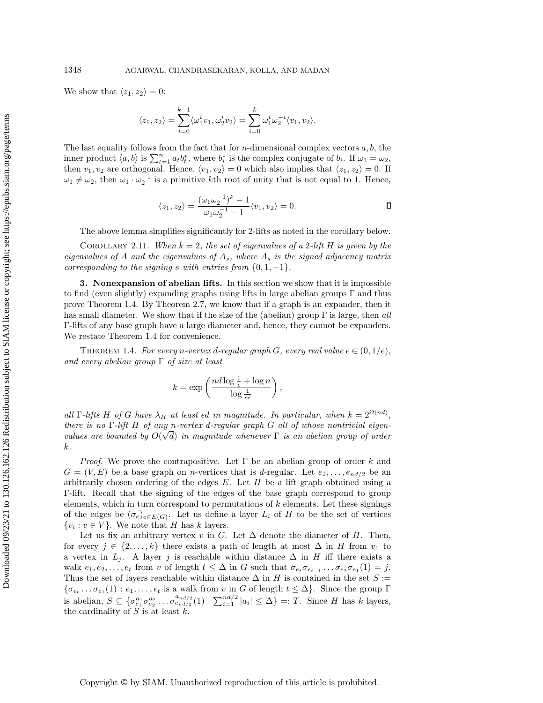We show that  $\langle z_1, z_2 \rangle = 0$ :

$$
\langle z_1, z_2 \rangle = \sum_{i=0}^{k-1} \langle \omega_1^i v_1, \omega_2^i v_2 \rangle = \sum_{i=0}^k \omega_1^i \omega_2^{-i} \langle v_1, v_2 \rangle.
$$

The last equality follows from the fact that for *n*-dimensional complex vectors  $a, b$ , the inner product  $\langle a, b \rangle$  is  $\sum_{t=1}^{n} a_t b_t^*$ , where  $b_i^*$  is the complex conjugate of  $b_i$ . If  $\omega_1 = \omega_2$ , then  $v_1, v_2$  are orthogonal. Hence,  $\langle v_1, v_2 \rangle = 0$  which also implies that  $\langle z_1, z_2 \rangle = 0$ . If  $\omega_1 \neq \omega_2$ , then  $\omega_1 \cdot \omega_2^{-1}$  is a primitive kth root of unity that is not equal to 1. Hence,

$$
\langle z_1, z_2 \rangle = \frac{(\omega_1 \omega_2^{-1})^k - 1}{\omega_1 \omega_2^{-1} - 1} \langle v_1, v_2 \rangle = 0.
$$

,

The above lemma simplifies significantly for 2-lifts as noted in the corollary below.

<span id="page-10-1"></span>COROLLARY 2.11. When  $k = 2$ , the set of eigenvalues of a 2-lift H is given by the eigenvalues of A and the eigenvalues of  $A_s$ , where  $A_s$  is the signed adjacency matrix corresponding to the signing s with entries from  $\{0, 1, -1\}.$ 

<span id="page-10-0"></span>3. Nonexpansion of abelian lifts. In this section we show that it is impossible to find (even slightly) expanding graphs using lifts in large abelian groups  $\Gamma$  and thus prove Theorem [1.4.](#page-4-0) By Theorem [2.7,](#page-8-1) we know that if a graph is an expander, then it has small diameter. We show that if the size of the (abelian) group  $\Gamma$  is large, then all Γ-lifts of any base graph have a large diameter and, hence, they cannot be expanders. We restate Theorem [1.4](#page-4-0) for convenience.

THEOREM 1.4. For every n-vertex d-regular graph G, every real value  $\epsilon \in (0,1/e)$ , and every abelian group  $\Gamma$  of size at least

$$
k = \exp\left(\frac{nd\log\frac{1}{\epsilon} + \log n}{\log\frac{1}{e\epsilon}}\right)
$$

all  $\Gamma$ -lifts H of G have  $\lambda_H$  at least  $\epsilon d$  in magnitude. In particular, when  $k = 2^{\Omega(nd)}$ , there is no  $\Gamma$ -lift H of any n-vertex d-regular graph G all of whose nontrivial eigenvalues are bounded by  $O(\sqrt{d})$  in magnitude whenever  $\Gamma$  is an abelian group of order k.

*Proof.* We prove the contrapositive. Let  $\Gamma$  be an abelian group of order k and  $G = (V, E)$  be a base graph on *n*-vertices that is d-regular. Let  $e_1, \ldots, e_{nd/2}$  be an arbitrarily chosen ordering of the edges  $E$ . Let  $H$  be a lift graph obtained using a Γ-lift. Recall that the signing of the edges of the base graph correspond to group elements, which in turn correspond to permutations of  $k$  elements. Let these signings of the edges be  $(\sigma_e)_{e \in E(G)}$ . Let us define a layer  $L_i$  of H to be the set of vertices  $\{v_i : v \in V\}$ . We note that H has k layers.

Let us fix an arbitrary vertex v in G. Let  $\Delta$  denote the diameter of H. Then, for every  $j \in \{2, ..., k\}$  there exists a path of length at most  $\Delta$  in H from  $v_1$  to a vertex in  $L_j$ . A layer j is reachable within distance  $\Delta$  in H iff there exists a walk  $e_1, e_2, \ldots, e_t$  from v of length  $t \leq \Delta$  in G such that  $\sigma_{e_t}\sigma_{e_{t-1}}\ldots\sigma_{e_2}\sigma_{e_1}(1) = j$ . Thus the set of layers reachable within distance  $\Delta$  in H is contained in the set  $S :=$  $\{\sigma_{e_t} \dots \sigma_{e_1}(1) : e_1, \dots, e_t \text{ is a walk from } v \text{ in } G \text{ of length } t \leq \Delta\}.$  Since the group  $\Gamma$ is abelian,  $S \subseteq \{ \sigma_{e_1}^{a_1} \sigma_{e_2}^{a_2} \dots \sigma_{e_{nd/2}}^{a_{nd/2}}(1) \mid \sum_{i=1}^{nd/2} |a_i| \leq \Delta \} =: T$ . Since H has k layers, the cardinality of  $S$  is at least  $k$ .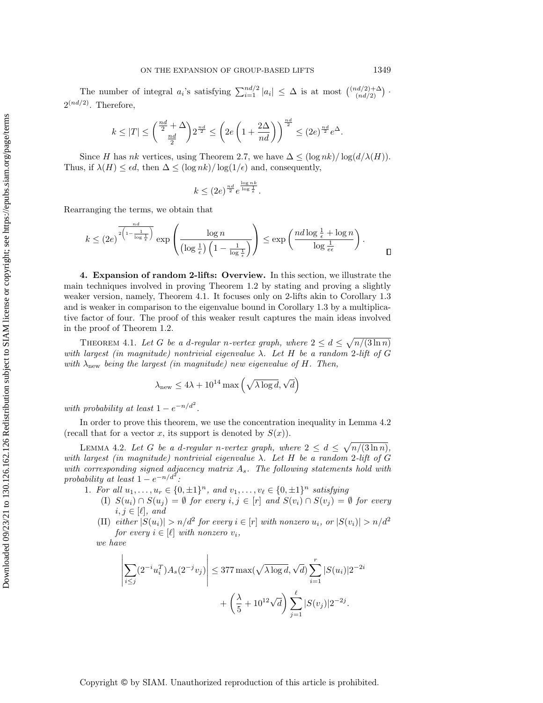The number of integral  $a_i$ 's satisfying  $\sum_{i=1}^{nd/2} |a_i| \leq \Delta$  is at most  $\binom{(nd/2)+\Delta}{(nd/2)}$  $\binom{nd/2+\Delta}{(nd/2)}$ .  $2^{(nd/2)}$ . Therefore,

$$
k\leq |T|\leq \binom{\frac{nd}{2}+\Delta}{\frac{nd}{2}}2^{\frac{nd}{2}}\leq \left(2e\left(1+\frac{2\Delta}{nd}\right)\right)^{\frac{nd}{2}}\leq (2e)^{\frac{nd}{2}}e^{\Delta}.
$$

Since H has nk vertices, using Theorem [2.7,](#page-8-1) we have  $\Delta \leq (\log nk)/\log(d/\lambda(H)).$ Thus, if  $\lambda(H) \leq \epsilon d$ , then  $\Delta \leq (\log nk)/\log(1/\epsilon)$  and, consequently,

$$
k \le (2e)^{\frac{nd}{2}} e^{\frac{\log nk}{\log \frac{1}{\epsilon}}}.
$$

Rearranging the terms, we obtain that

$$
k \le (2e)^{\frac{nd}{2\left(1-\frac{1}{\log\frac{1}{\epsilon}}\right)}}\exp\left(\frac{\log n}{\left(\log\frac{1}{\epsilon}\right)\left(1-\frac{1}{\log\frac{1}{\epsilon}}\right)}\right) \le \exp\left(\frac{nd\log\frac{1}{\epsilon}+\log n}{\log\frac{1}{\epsilon\epsilon}}\right).
$$

<span id="page-11-1"></span>4. Expansion of random 2-lifts: Overview. In this section, we illustrate the main techniques involved in proving Theorem [1.2](#page-2-0) by stating and proving a slightly weaker version, namely, Theorem [4.1.](#page-11-0) It focuses only on 2-lifts akin to Corollary [1.3](#page-3-0) and is weaker in comparison to the eigenvalue bound in Corollary [1.3](#page-3-0) by a multiplicative factor of four. The proof of this weaker result captures the main ideas involved in the proof of Theorem [1.2.](#page-2-0)

<span id="page-11-0"></span>THEOREM 4.1. Let G be a d-regular n-vertex graph, where  $2 \leq d \leq \sqrt{n/(3 \ln n)}$ with largest (in magnitude) nontrivial eigenvalue  $\lambda$ . Let H be a random 2-lift of G with  $\lambda_{\text{new}}$  being the largest (in magnitude) new eigenvalue of H. Then,

$$
\lambda_{\text{new}} \leq 4\lambda + 10^{14} \max\left(\sqrt{\lambda \log d}, \sqrt{d}\right)
$$

with probability at least  $1 - e^{-n/d^2}$ .

In order to prove this theorem, we use the concentration inequality in Lemma [4.2](#page-11-2) (recall that for a vector x, its support is denoted by  $S(x)$ ).

<span id="page-11-2"></span>LEMMA 4.2. Let G be a d-regular n-vertex graph, where  $2 \leq d \leq \sqrt{n/(3\ln n)}$ , with largest (in magnitude) nontrivial eigenvalue  $\lambda$ . Let H be a random 2-lift of G with corresponding signed adjacency matrix  $A_s$ . The following statements hold with probability at least  $1 - e^{-n/d^2}$ .

1. For all  $u_1, \ldots, u_r \in \{0, \pm 1\}^n$ , and  $v_1, \ldots, v_\ell \in \{0, \pm 1\}^n$  satisfying

- (I)  $S(u_i) \cap S(u_j) = \emptyset$  for every  $i, j \in [r]$  and  $S(v_i) \cap S(v_j) = \emptyset$  for every  $i, j \in [\ell], \text{ and}$
- (II) either  $|S(u_i)| > n/d^2$  for every  $i \in [r]$  with nonzero  $u_i$ , or  $|S(v_i)| > n/d^2$ for every  $i \in [\ell]$  with nonzero  $v_i$ ,

we have

$$
\left| \sum_{i \le j} (2^{-i} u_i^T) A_s(2^{-j} v_j) \right| \le 377 \max(\sqrt{\lambda \log d}, \sqrt{d}) \sum_{i=1}^r |S(u_i)| 2^{-2i}
$$

$$
+ \left(\frac{\lambda}{5} + 10^{12} \sqrt{d}\right) \sum_{j=1}^\ell |S(v_j)| 2^{-2j}.
$$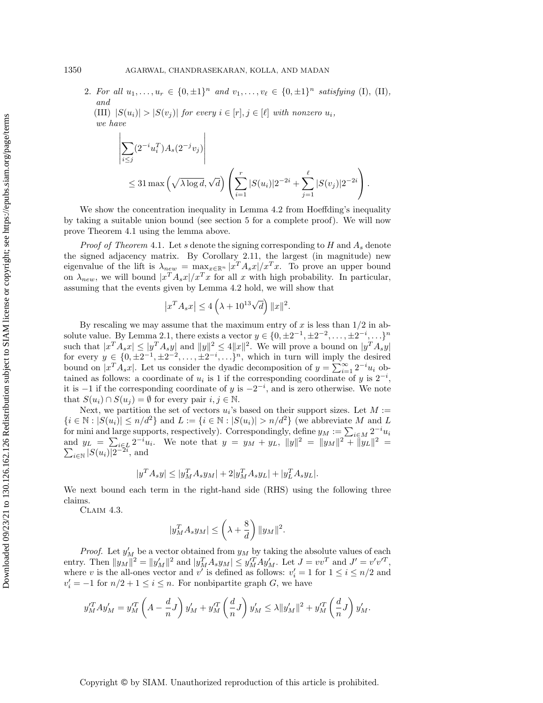2. For all  $u_1, \ldots, u_r \in \{0, \pm 1\}^n$  and  $v_1, \ldots, v_\ell \in \{0, \pm 1\}^n$  satisfying (I), (II), and

(III)  $|S(u_i)| > |S(v_j)|$  for every  $i \in [r], j \in [\ell]$  with nonzero  $u_i$ , we have

$$
\left| \sum_{i \leq j} (2^{-i} u_i^T) A_s (2^{-j} v_j) \right|
$$
  
 
$$
\leq 31 \max \left( \sqrt{\lambda \log d}, \sqrt{d} \right) \left( \sum_{i=1}^r |S(u_i)| 2^{-2i} + \sum_{j=1}^\ell |S(v_j)| 2^{-2i} \right).
$$

We show the concentration inequality in Lemma [4.2](#page-11-2) from Hoeffding's inequality by taking a suitable union bound (see section [5](#page-15-0) for a complete proof). We will now prove Theorem [4.1](#page-11-0) using the lemma above.

*Proof of Theorem [4.1](#page-11-0).* Let s denote the signing corresponding to H and  $A_s$  denote the signed adjacency matrix. By Corollary [2.11,](#page-10-1) the largest (in magnitude) new eigenvalue of the lift is  $\lambda_{new} = \max_{x \in \mathbb{R}^n} |x^T A_s x| / x^T x$ . To prove an upper bound on  $\lambda_{new}$ , we will bound  $|x^T A_s x| / x^T x$  for all x with high probability. In particular, assuming that the events given by Lemma [4.2](#page-11-2) hold, we will show that

$$
\left| x^T A_s x \right| \le 4\left(\lambda + 10^{13} \sqrt{d}\right) \|x\|^2.
$$

By rescaling we may assume that the maximum entry of x is less than  $1/2$  in ab-solute value. By Lemma [2.1,](#page-6-0) there exists a vector  $y \in \{0, \pm 2^{-1}, \pm 2^{-2}, \dots, \pm 2^{-i}, \dots\}^n$ such that  $|x^T A_s x| \le |y^T A_s y|$  and  $||y||^2 \le 4||x||^2$ . We will prove a bound on  $|y^T A_s y|$ for every  $y \in \{0, \pm 2^{-1}, \pm 2^{-2}, \ldots, \pm 2^{-i}, \ldots\}^n$ , which in turn will imply the desired bound on  $|x^T A_s x|$ . Let us consider the dyadic decomposition of  $y = \sum_{i=1}^{\infty} 2^{-i} u_i$  obtained as follows: a coordinate of  $u_i$  is 1 if the corresponding coordinate of y is  $2^{-i}$ , it is  $-1$  if the corresponding coordinate of y is  $-2^{-i}$ , and is zero otherwise. We note that  $S(u_i) \cap S(u_j) = \emptyset$  for every pair  $i, j \in \mathbb{N}$ .

Next, we partition the set of vectors  $u_i$ 's based on their support sizes. Let  $M :=$  ${i \in \mathbb{N} : |S(u_i)| \le n/d^2}$  and  $L := {i \in \mathbb{N} : |S(u_i)| > n/d^2}$  (we abbreviate M and L for mini and large supports, respectively). Correspondingly, define  $y_M := \sum_{i \in M} 2^{-i} u_i$ and  $y_L = \sum_{i \in L} 2^{-i} u_i$ . We note that  $y = y_M + y_L$ ,  $||y||^2 = ||y_M||^2 + ||y_L||$ <br> $\sum_{i \in \mathbb{N}} |S(u_i)| 2^{-2i}$ , and  $2 =$  $_{i\in\mathbb{N}} |S(u_i)| 2^{-2i}$ , and

$$
|y^T A_s y| \le |y_M^T A_s y_M| + 2|y_M^T A_s y_L| + |y_L^T A_s y_L|.
$$

We next bound each term in the right-hand side (RHS) using the following three claims.

<span id="page-12-0"></span>Claim 4.3.

$$
|y_M^T A_s y_M| \le \left(\lambda + \frac{8}{d}\right) \|y_M\|^2.
$$

*Proof.* Let  $y'_M$  be a vector obtained from  $y_M$  by taking the absolute values of each entry. Then  $||y_M||^2 = ||y'_M||^2$  and  $|y_M^T A_s y_M| \le y_M^T A y'_M$ . Let  $J = v v^T$  and  $J' = v' v'^T$ , where v is the all-ones vector and v' is defined as follows:  $v_i' = 1$  for  $1 \le i \le n/2$  and  $v_i' = -1$  for  $n/2 + 1 \le i \le n$ . For nonbipartite graph G, we have

$$
y_M^{\prime T}Ay_M^{\prime} = y_M^{\prime T}\left(A - \frac{d}{n}J\right)y_M^{\prime} + y_M^{\prime T}\left(\frac{d}{n}J\right)y_M^{\prime} \leq \lambda \|y_M^{\prime}\|^2 + y_M^{\prime T}\left(\frac{d}{n}J\right)y_M^{\prime}.
$$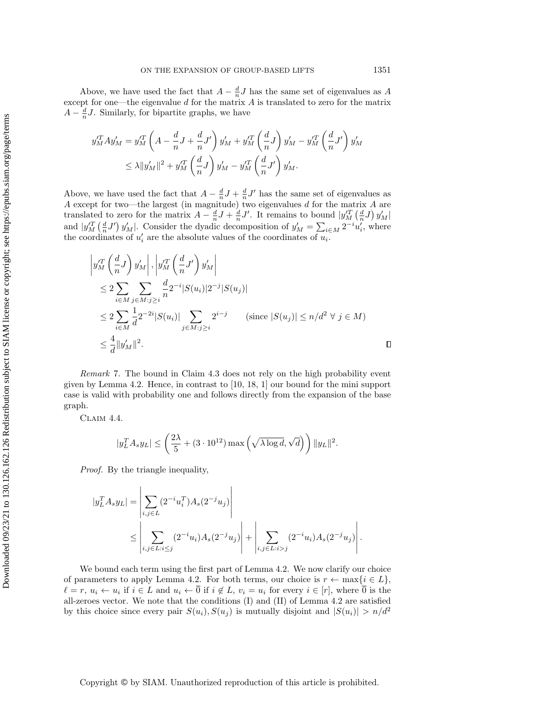Above, we have used the fact that  $A - \frac{d}{n}J$  has the same set of eigenvalues as A except for one—the eigenvalue  $d$  for the matrix  $A$  is translated to zero for the matrix  $A - \frac{d}{n}J$ . Similarly, for bipartite graphs, we have

$$
y_M^{'T}Ay'_M = y_M^{'T} \left( A - \frac{d}{n}J + \frac{d}{n}J' \right) y'_M + y_M^{'T} \left( \frac{d}{n}J \right) y'_M - y_M^{'T} \left( \frac{d}{n}J' \right) y'_M \n\leq \lambda \|y'_M\|^2 + y_M^{'T} \left( \frac{d}{n}J \right) y'_M - y_M^{'T} \left( \frac{d}{n}J' \right) y'_M.
$$

Above, we have used the fact that  $A - \frac{d}{n}J + \frac{d}{n}J'$  has the same set of eigenvalues as A except for two—the largest (in magnitude) two eigenvalues  $d$  for the matrix  $A$  are translated to zero for the matrix  $A - \frac{d}{n}J + \frac{d}{n}J'$ . It remains to bound  $|y_M^T(\frac{d}{n}J)y_M'|$ and  $|y_M^T(\frac{d}{n}J')y_M'|\right.$  Consider the dyadic decomposition of  $y_M' = \sum_{i \in M} 2^{-i}u_i'$ , where the coordinates of  $u'_i$  are the absolute values of the coordinates of  $u_i$ .

$$
\left| y_M^{\prime T} \left( \frac{d}{n} J \right) y_M^{\prime} \right|, \left| y_M^{\prime T} \left( \frac{d}{n} J' \right) y_M^{\prime} \right|
$$
  
\n
$$
\leq 2 \sum_{i \in M} \sum_{j \in M : j \geq i} \frac{d}{n} 2^{-i} |S(u_i)| 2^{-j} |S(u_j)|
$$
  
\n
$$
\leq 2 \sum_{i \in M} \frac{1}{d} 2^{-2i} |S(u_i)| \sum_{j \in M : j \geq i} 2^{i-j} \qquad (\text{since } |S(u_j)| \leq n/d^2 \ \forall \ j \in M)
$$
  
\n
$$
\leq \frac{4}{d} ||y_M^{\prime}||^2.
$$

Remark 7. The bound in Claim [4.3](#page-12-0) does not rely on the high probability event given by Lemma [4.2.](#page-11-2) Hence, in contrast to [\[10,](#page-34-16) [18,](#page-34-10) [1\]](#page-34-11) our bound for the mini support case is valid with probability one and follows directly from the expansion of the base graph.

Claim 4.4.

$$
|y_L^T A_s y_L| \leq \left(\frac{2\lambda}{5} + (3\cdot 10^{12})\max\left(\sqrt{\lambda \log d}, \sqrt{d}\right)\right) \|y_L\|^2.
$$

Proof. By the triangle inequality,

$$
|y_L^T A_s y_L| = \left| \sum_{i,j \in L} (2^{-i} u_i^T) A_s (2^{-j} u_j) \right|
$$
  
 
$$
\leq \left| \sum_{i,j \in L: i \leq j} (2^{-i} u_i) A_s (2^{-j} u_j) \right| + \left| \sum_{i,j \in L: i > j} (2^{-i} u_i) A_s (2^{-j} u_j) \right|.
$$

We bound each term using the first part of Lemma [4.2.](#page-11-2) We now clarify our choice of parameters to apply Lemma [4.2.](#page-11-2) For both terms, our choice is  $r \leftarrow \max\{i \in L\}$ ,  $\ell = r, u_i \leftarrow u_i$  if  $i \in L$  and  $u_i \leftarrow \overline{0}$  if  $i \notin L$ ,  $v_i = u_i$  for every  $i \in [r]$ , where  $\overline{0}$  is the all-zeroes vector. We note that the conditions (I) and (II) of Lemma [4.2](#page-11-2) are satisfied by this choice since every pair  $S(u_i), S(u_j)$  is mutually disjoint and  $|S(u_i)| > n/d^2$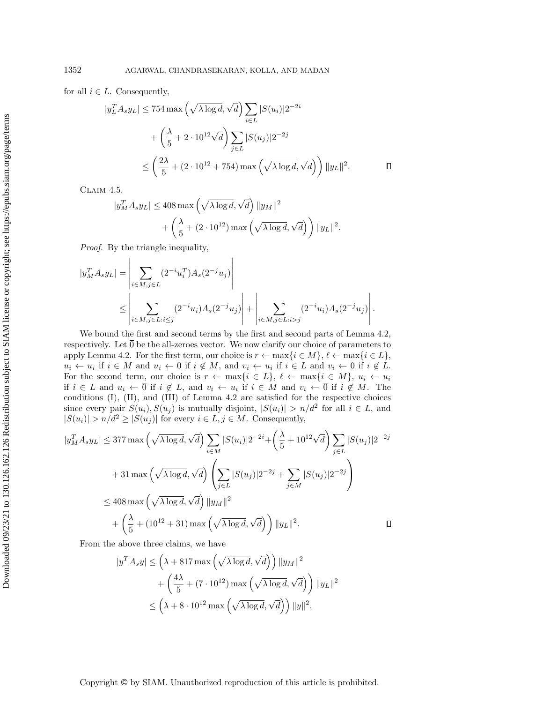for all  $i \in L$ . Consequently,

$$
|y_L^T A_s y_L| \le 754 \max \left( \sqrt{\lambda \log d}, \sqrt{d} \right) \sum_{i \in L} |S(u_i)| 2^{-2i}
$$
  
+  $\left( \frac{\lambda}{5} + 2 \cdot 10^{12} \sqrt{d} \right) \sum_{j \in L} |S(u_j)| 2^{-2j}$   
 $\le \left( \frac{2\lambda}{5} + (2 \cdot 10^{12} + 754) \max \left( \sqrt{\lambda \log d}, \sqrt{d} \right) \right) ||y_L||^2.$ 

Claim 4.5.

$$
|y_M^T A_s y_L| \le 408 \max \left( \sqrt{\lambda \log d}, \sqrt{d} \right) \|y_M\|^2 + \left( \frac{\lambda}{5} + (2 \cdot 10^{12}) \max \left( \sqrt{\lambda \log d}, \sqrt{d} \right) \right) \|y_L\|^2.
$$

 $\overline{1}$ 

Proof. By the triangle inequality,

 $\mathbf{r}$ 

$$
|y_M^T A_s y_L| = \left| \sum_{i \in M, j \in L} (2^{-i} u_i^T) A_s (2^{-j} u_j) \right|
$$
  
 
$$
\leq \left| \sum_{i \in M, j \in L: i \leq j} (2^{-i} u_i) A_s (2^{-j} u_j) \right| + \left| \sum_{i \in M, j \in L: i > j} (2^{-i} u_i) A_s (2^{-j} u_j) \right|.
$$

We bound the first and second terms by the first and second parts of Lemma [4.2,](#page-11-2) respectively. Let  $\overline{0}$  be the all-zeroes vector. We now clarify our choice of parameters to apply Lemma [4.2.](#page-11-2) For the first term, our choice is  $r \leftarrow \max\{i \in M\}, \ell \leftarrow \max\{i \in L\}$ ,  $u_i \leftarrow u_i$  if  $i \in M$  and  $u_i \leftarrow \overline{0}$  if  $i \notin M$ , and  $v_i \leftarrow u_i$  if  $i \in L$  and  $v_i \leftarrow \overline{0}$  if  $i \notin L$ . For the second term, our choice is  $r \leftarrow \max\{i \in L\}, \ell \leftarrow \max\{i \in M\}, u_i \leftarrow u_i$ if  $i \in L$  and  $u_i \leftarrow 0$  if  $i \notin L$ , and  $v_i \leftarrow u_i$  if  $i \in M$  and  $v_i \leftarrow 0$  if  $i \notin M$ . The conditions (I), (II), and (III) of Lemma [4.2](#page-11-2) are satisfied for the respective choices since every pair  $S(u_i)$ ,  $S(u_j)$  is mutually disjoint,  $|S(u_i)| > n/d^2$  for all  $i \in L$ , and  $|S(u_i)| > n/d^2 \geq |S(u_j)|$  for every  $i \in L, j \in M$ . Consequently,

$$
|y_M^T A_s y_L| \le 377 \max \left(\sqrt{\lambda \log d}, \sqrt{d}\right) \sum_{i \in M} |S(u_i)| 2^{-2i} + \left(\frac{\lambda}{5} + 10^{12} \sqrt{d}\right) \sum_{j \in L} |S(u_j)| 2^{-2j}
$$
  
+ 31 max  $\left(\sqrt{\lambda \log d}, \sqrt{d}\right) \left(\sum_{j \in L} |S(u_j)| 2^{-2j} + \sum_{j \in M} |S(u_j)| 2^{-2j}\right)$   

$$
\le 408 \max \left(\sqrt{\lambda \log d}, \sqrt{d}\right) \|y_M\|^2
$$
  
+  $\left(\frac{\lambda}{5} + (10^{12} + 31) \max \left(\sqrt{\lambda \log d}, \sqrt{d}\right)\right) \|y_L\|^2.$ 

From the above three claims, we have

$$
|y^T A_s y| \le \left(\lambda + 817 \max \left(\sqrt{\lambda \log d}, \sqrt{d}\right)\right) ||y_M||^2
$$
  
+ 
$$
\left(\frac{4\lambda}{5} + (7 \cdot 10^{12}) \max \left(\sqrt{\lambda \log d}, \sqrt{d}\right)\right) ||y_L||^2
$$
  

$$
\le \left(\lambda + 8 \cdot 10^{12} \max \left(\sqrt{\lambda \log d}, \sqrt{d}\right)\right) ||y||^2.
$$

Copyright © by SIAM. Unauthorized reproduction of this article is prohibited.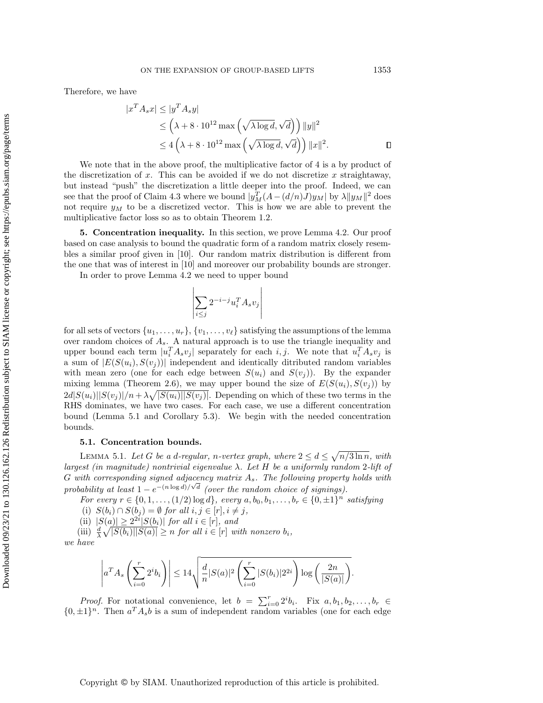$$
A_s x \le |y^* A_s y|
$$
  
\n
$$
\le \left(\lambda + 8 \cdot 10^{12} \max\left(\sqrt{\lambda \log d}, \sqrt{d}\right)\right) ||y||^2
$$
  
\n
$$
\le 4 \left(\lambda + 8 \cdot 10^{12} \max\left(\sqrt{\lambda \log d}, \sqrt{d}\right)\right) ||x||^2.
$$

We note that in the above proof, the multiplicative factor of 4 is a by product of the discretization of x. This can be avoided if we do not discretize x straightaway, but instead "push" the discretization a little deeper into the proof. Indeed, we can see that the proof of Claim [4.3](#page-12-0) where we bound  $|y_M^T(A-(d/n)J)y_M|$  by  $\lambda ||y_M||^2$  does not require  $y_M$  to be a discretized vector. This is how we are able to prevent the multiplicative factor loss so as to obtain Theorem [1.2.](#page-2-0)

<span id="page-15-0"></span>5. Concentration inequality. In this section, we prove Lemma [4.2.](#page-11-2) Our proof based on case analysis to bound the quadratic form of a random matrix closely resembles a similar proof given in [\[10\]](#page-34-16). Our random matrix distribution is different from the one that was of interest in [\[10\]](#page-34-16) and moreover our probability bounds are stronger.

In order to prove Lemma [4.2](#page-11-2) we need to upper bound

$$
\left|\sum_{i\leq j}2^{-i-j}u_i^TA_sv_j\right|
$$

for all sets of vectors  $\{u_1, \ldots, u_r\}, \{v_1, \ldots, v_\ell\}$  satisfying the assumptions of the lemma over random choices of  $A_s$ . A natural approach is to use the triangle inequality and upper bound each term  $|u_i^T A_s v_j|$  separately for each i, j. We note that  $u_i^T A_s v_j$  is a sum of  $|E(S(u_i), S(v_i))|$  independent and identically ditributed random variables with mean zero (one for each edge between  $S(u_i)$  and  $S(v_i)$ ). By the expander mixing lemma (Theorem [2.6\)](#page-8-2), we may upper bound the size of  $E(S(u_i), S(v_j))$  by  $2d|S(u_i)||S(v_j)|/n + \lambda \sqrt{|S(u_i)||S(v_j)|}$ . Depending on which of these two terms in the RHS dominates, we have two cases. For each case, we use a different concentration bound (Lemma [5.1](#page-15-1) and Corollary [5.3\)](#page-18-0). We begin with the needed concentration bounds.

## <span id="page-15-1"></span>5.1. Concentration bounds.

LEMMA 5.1. Let G be a d-regular, n-vertex graph, where  $2 \leq d \leq \sqrt{n/3 \ln n}$ , with largest (in magnitude) nontrivial eigenvalue  $\lambda$ . Let H be a uniformly random 2-lift of  $G$  with corresponding signed adjacency matrix  $A_s$ . The following property holds with probability at least  $1 - e^{-(n \log d)/\sqrt{d}}$  (over the random choice of signings).

For every  $r \in \{0, 1, \ldots, (1/2) \log d\}$ , every  $a, b_0, b_1, \ldots, b_r \in \{0, \pm 1\}^n$  satisfying

(i)  $S(b_i) \cap S(b_j) = \emptyset$  for all  $i, j \in [r], i \neq j$ ,

(ii)  $|S(a)| \geq 2^{2i}|S(b_i)|$  for all  $i \in [r]$ , and

(iii)  $\frac{d}{\lambda} \sqrt{|S(b_i)||S(a)|} \geq n$  for all  $i \in [r]$  with nonzero  $b_i$ , we have

$$
\left|a^T A_s\left(\sum_{i=0}^r 2^i b_i\right)\right| \leq 14\sqrt{\frac{d}{n}|S(a)|^2 \left(\sum_{i=0}^r |S(b_i)| 2^{2i}\right) \log\left(\frac{2n}{|S(a)|}\right)}.
$$

*Proof.* For notational convenience, let  $b = \sum_{i=0}^{r} 2^{i}b_{i}$ . Fix  $a, b_1, b_2, \ldots, b_r \in$  $\{0, \pm 1\}^n$ . Then  $a^T A_s b$  is a sum of independent random variables (one for each edge

Copyright © by SIAM. Unauthorized reproduction of this article is prohibited.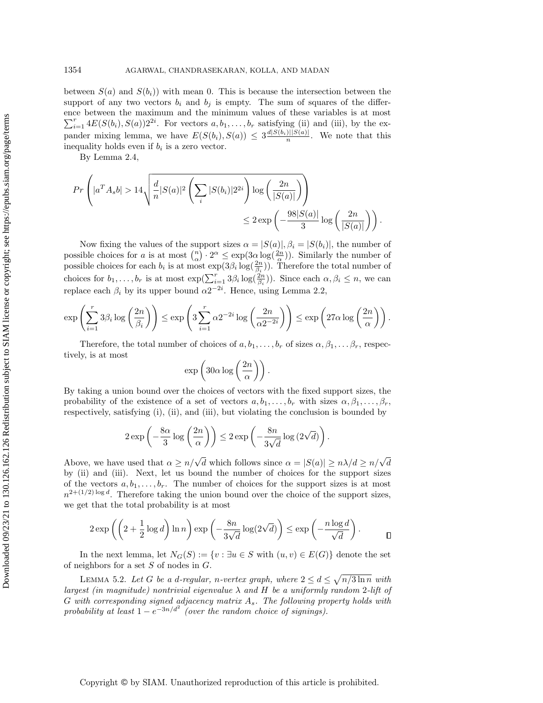between  $S(a)$  and  $S(b<sub>i</sub>)$ ) with mean 0. This is because the intersection between the support of any two vectors  $b_i$  and  $b_j$  is empty. The sum of squares of the difference between the maximum and the minimum values of these variables is at most  $\sum_{i=1}^r 4E(S(b_i), S(a))2^{2i}$ . For vectors  $a, b_1, \ldots, b_r$  satisfying (ii) and (iii), by the expander mixing lemma, we have  $E(S(b_i), S(a)) \leq 3 \frac{d|S(b_i)||S(a)|}{n}$ . We note that this inequality holds even if  $b_i$  is a zero vector.

By Lemma [2.4,](#page-7-0)

$$
Pr\left(|a^T A_s b| > 14\sqrt{\frac{d}{n}|S(a)|^2 \left(\sum_i |S(b_i)| 2^{2i}\right) \log\left(\frac{2n}{|S(a)|}\right)} \right) \le 2 \exp\left(-\frac{98|S(a)|}{3} \log\left(\frac{2n}{|S(a)|}\right)\right).
$$

Now fixing the values of the support sizes  $\alpha = |S(a)|$ ,  $\beta_i = |S(b_i)|$ , the number of possible choices for a is at most  $\binom{n}{\alpha} \cdot 2^{\alpha} \leq \exp(3\alpha \log(\frac{2n}{\alpha}))$ . Similarly the number of possible choices for a is at most  $\left(\frac{\alpha}{\alpha}\right)^2 \geq \frac{1}{\alpha} \exp(\frac{2n}{\beta_i})$ . Therefore the total number of possible choices for each  $b_i$  is at most  $\exp(3\beta_i \log(\frac{2n}{\beta_i}))$ . Therefore the total number of choices for  $b_1, \ldots, b_r$  is at most  $\exp(\sum_{i=1}^r 3\beta_i \log(\frac{2n}{\beta_i}))$ . Since each  $\alpha, \beta_i \leq n$ , we can replace each  $\beta_i$  by its upper bound  $\alpha 2^{-2i}$ . Hence, using Lemma [2.2,](#page-6-1)

$$
\exp\left(\sum_{i=1}^r 3\beta_i \log\left(\frac{2n}{\beta_i}\right)\right) \le \exp\left(3\sum_{i=1}^r \alpha 2^{-2i} \log\left(\frac{2n}{\alpha 2^{-2i}}\right)\right) \le \exp\left(27\alpha \log\left(\frac{2n}{\alpha}\right)\right).
$$

Therefore, the total number of choices of  $a, b_1, \ldots, b_r$  of sizes  $\alpha, \beta_1, \ldots, \beta_r$ , respectively, is at most

$$
\exp\left(30\alpha\log\left(\frac{2n}{\alpha}\right)\right).
$$

By taking a union bound over the choices of vectors with the fixed support sizes, the probability of the existence of a set of vectors  $a, b_1, \ldots, b_r$  with sizes  $\alpha, \beta_1, \ldots, \beta_r$ , respectively, satisfying (i), (ii), and (iii), but violating the conclusion is bounded by

$$
2\exp\left(-\frac{8\alpha}{3}\log\left(\frac{2n}{\alpha}\right)\right) \leq 2\exp\left(-\frac{8n}{3\sqrt{d}}\log\left(2\sqrt{d}\right)\right).
$$

Above, we have used that  $\alpha \ge n/\sqrt{d}$  which follows since  $\alpha = |S(a)| \ge n/\sqrt{d}$ by (ii) and (iii). Next, let us bound the number of choices for the support sizes of the vectors  $a, b_1, \ldots, b_r$ . The number of choices for the support sizes is at most  $n^{2+(1/2)\log d}$ . Therefore taking the union bound over the choice of the support sizes, we get that the total probability is at most

$$
2\exp\left(\left(2+\frac{1}{2}\log d\right)\ln n\right)\exp\left(-\frac{8n}{3\sqrt{d}}\log(2\sqrt{d})\right)\leq \exp\left(-\frac{n\log d}{\sqrt{d}}\right).
$$

In the next lemma, let  $N_G(S) := \{v : \exists u \in S \text{ with } (u, v) \in E(G)\}\$  denote the set of neighbors for a set  $S$  of nodes in  $G$ .

<span id="page-16-0"></span>LEMMA 5.2. Let G be a d-regular, n-vertex graph, where  $2 \leq d \leq \sqrt{n/3 \ln n}$  with largest (in magnitude) nontrivial eigenvalue  $\lambda$  and H be a uniformly random 2-lift of G with corresponding signed adjacency matrix  $A_s$ . The following property holds with probability at least  $1 - e^{-3n/d^2}$  (over the random choice of signings).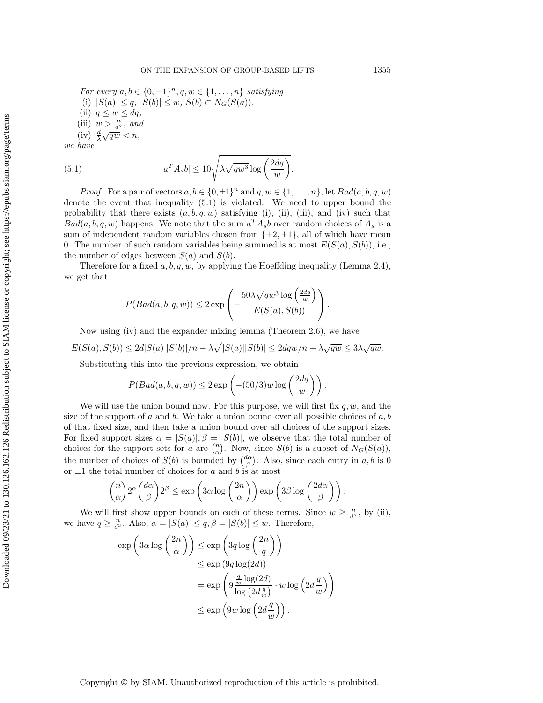For every  $a, b \in \{0, \pm 1\}^n, q, w \in \{1, \ldots, n\}$  satisfying (i)  $|S(a)| \le q$ ,  $|S(b)| \le w$ ,  $S(b) \subset N_G(S(a))$ , (ii)  $q \leq w \leq dq$ , (iii)  $w > \frac{n}{d^2}$ , and (iv)  $\frac{d}{\lambda}\sqrt{qw} < n$ ,

we have

<span id="page-17-0"></span>(5.1) 
$$
|a^T A_s b| \le 10 \sqrt{\lambda \sqrt{q w^3} \log \left(\frac{2dq}{w}\right)}.
$$

*Proof.* For a pair of vectors  $a, b \in \{0, \pm 1\}^n$  and  $q, w \in \{1, \ldots, n\}$ , let  $Bad(a, b, q, w)$ denote the event that inequality [\(5.1\)](#page-17-0) is violated. We need to upper bound the probability that there exists  $(a, b, q, w)$  satisfying (i), (ii), (iii), and (iv) such that  $Bad(a, b, q, w)$  happens. We note that the sum  $a<sup>T</sup>A<sub>s</sub>b$  over random choices of  $A<sub>s</sub>$  is a sum of independent random variables chosen from  $\{\pm 2, \pm 1\}$ , all of which have mean 0. The number of such random variables being summed is at most  $E(S(a), S(b))$ , i.e., the number of edges between  $S(a)$  and  $S(b)$ .

Therefore for a fixed  $a, b, q, w$ , by applying the Hoeffding inequality (Lemma [2.4\)](#page-7-0), we get that

$$
P(Bad(a, b, q, w)) \leq 2 \exp \left(-\frac{50\lambda\sqrt{qw^3}\log\left(\frac{2dq}{w}\right)}{E(S(a), S(b))}\right).
$$

Now using (iv) and the expander mixing lemma (Theorem [2.6\)](#page-8-2), we have

 $E(S(a), S(b)) \leq 2d|S(a)||S(b)|/n + \lambda \sqrt{|S(a)||S(b)|} \leq 2dqw/n + \lambda \sqrt{qw} \leq 3\lambda \sqrt{qw}.$ 

Substituting this into the previous expression, we obtain

$$
P(Bad(a, b, q, w)) \le 2 \exp\left(-(50/3)w \log\left(\frac{2dq}{w}\right)\right).
$$

We will use the union bound now. For this purpose, we will first fix  $q, w$ , and the size of the support of a and b. We take a union bound over all possible choices of  $a, b$ of that fixed size, and then take a union bound over all choices of the support sizes. For fixed support sizes  $\alpha = |S(a)|$ ,  $\beta = |S(b)|$ , we observe that the total number of choices for the support sets for a are  $\binom{n}{\alpha}$ . Now, since  $S(b)$  is a subset of  $N_G(S(a))$ , the number of choices of  $S(b)$  is bounded by  $\binom{d\alpha}{\beta}$ . Also, since each entry in a, b is 0 or  $\pm 1$  the total number of choices for a and b is at most

$$
{\binom{n}{\alpha}}2^{\alpha}\binom{d\alpha}{\beta}2^{\beta} \le \exp\left(3\alpha\log\left(\frac{2n}{\alpha}\right)\right)\exp\left(3\beta\log\left(\frac{2d\alpha}{\beta}\right)\right).
$$

We will first show upper bounds on each of these terms. Since  $w \geq \frac{n}{d^2}$ , by (ii), we have  $q \geq \frac{n}{d^3}$ . Also,  $\alpha = |S(a)| \leq q, \beta = |S(b)| \leq w$ . Therefore,

$$
\exp\left(3\alpha\log\left(\frac{2n}{\alpha}\right)\right) \le \exp\left(3q\log\left(\frac{2n}{q}\right)\right)
$$
  

$$
\le \exp\left(9q\log(2d)\right)
$$
  

$$
= \exp\left(9\frac{\frac{q}{w}\log(2d)}{\log\left(2d\frac{q}{w}\right)} \cdot w \log\left(2d\frac{q}{w}\right)\right)
$$
  

$$
\le \exp\left(9w\log\left(2d\frac{q}{w}\right)\right).
$$

Copyright © by SIAM. Unauthorized reproduction of this article is prohibited.

Downloaded 09/23/21 to 130.126.162.126 Redistribution subject to SIAM license or copyright; see https://epubs.siam.org/page/terms Downloaded 09/23/21 to 130.126.162.126 Redistribution subject to SIAM license or copyright; see https://epubs.siam.org/page/terms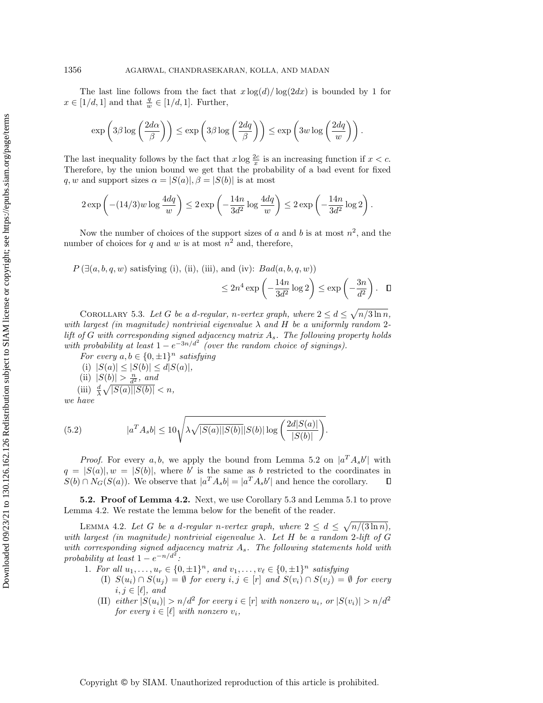The last line follows from the fact that  $x \log(d) / \log(2dx)$  is bounded by 1 for  $x \in [1/d, 1]$  and that  $\frac{q}{w} \in [1/d, 1]$ . Further,

$$
\exp\left(3\beta \log\left(\frac{2d\alpha}{\beta}\right)\right) \le \exp\left(3\beta \log\left(\frac{2dq}{\beta}\right)\right) \le \exp\left(3w \log\left(\frac{2dq}{w}\right)\right).
$$

The last inequality follows by the fact that  $x \log \frac{2c}{x}$  is an increasing function if  $x < c$ . Therefore, by the union bound we get that the probability of a bad event for fixed q, w and support sizes  $\alpha = |S(a)|$ ,  $\beta = |S(b)|$  is at most

$$
2\exp\left(-(14/3)w\log\frac{4dq}{w}\right)\leq 2\exp\left(-\frac{14n}{3d^2}\log\frac{4dq}{w}\right)\leq 2\exp\left(-\frac{14n}{3d^2}\log 2\right).
$$

Now the number of choices of the support sizes of a and b is at most  $n^2$ , and the number of choices for q and w is at most  $n^2$  and, therefore,

 $P(\exists (a, b, q, w)$  satisfying (i), (ii), (iii), and (iv):  $Bad(a, b, q, w)$ )

$$
\leq 2n^4 \exp\left(-\frac{14n}{3d^2}\log 2\right) \leq \exp\left(-\frac{3n}{d^2}\right). \quad \Box
$$

<span id="page-18-0"></span>COROLLARY 5.3. Let G be a d-regular, n-vertex graph, where  $2 \leq d \leq \sqrt{n/3 \ln n}$ , with largest (in magnitude) nontrivial eigenvalue  $\lambda$  and H be a uniformly random 2lift of G with corresponding signed adjacency matrix  $A_s$ . The following property holds with probability at least  $1 - e^{-3n/d^2}$  (over the random choice of signings).

For every  $a, b \in \{0, \pm 1\}^n$  satisfying

(i)  $|S(a)| \leq |S(b)| \leq d|S(a)|$ ,

(ii)  $|S(b)| > \frac{n}{d^2}$ , and

(iii)  $\frac{d}{\lambda} \sqrt{|S(a)||S(b)|} < n,$ 

we have

(5.2) 
$$
|a^T A_s b| \le 10 \sqrt{\lambda \sqrt{|S(a)||S(b)||S(b)||\log\left(\frac{2d|S(a)|}{|S(b)|}\right)}}.
$$

*Proof.* For every a, b, we apply the bound from Lemma [5.2](#page-16-0) on  $|a^T A_s b'|$  with  $q = |S(a)|, w = |S(b)|$ , where b' is the same as b restricted to the coordinates in  $S(b) \cap N_G(S(a))$ . We observe that  $|a^T A_s b| = |a^T A_s b'|$  and hence the corollary.  $\Box$ 

5.2. Proof of Lemma [4.2.](#page-11-2) Next, we use Corollary [5.3](#page-18-0) and Lemma [5.1](#page-15-1) to prove Lemma [4.2.](#page-11-2) We restate the lemma below for the benefit of the reader.

LEMMA 4.2. Let G be a d-regular n-vertex graph, where  $2 \leq d \leq \sqrt{n/(3\ln n)}$ , with largest (in magnitude) nontrivial eigenvalue  $\lambda$ . Let H be a random 2-lift of G with corresponding signed adjacency matrix  $A_s$ . The following statements hold with probability at least  $1 - e^{-n/d^2}$ .

- 1. For all  $u_1, \ldots, u_r \in \{0, \pm 1\}^n$ , and  $v_1, \ldots, v_\ell \in \{0, \pm 1\}^n$  satisfying
	- (I)  $S(u_i) \cap S(u_j) = \emptyset$  for every  $i, j \in [r]$  and  $S(v_i) \cap S(v_j) = \emptyset$  for every  $i, j \in [\ell], \text{ and}$
	- (II) either  $|S(u_i)| > n/d^2$  for every  $i \in [r]$  with nonzero  $u_i$ , or  $|S(v_i)| > n/d^2$ for every  $i \in [\ell]$  with nonzero  $v_i$ ,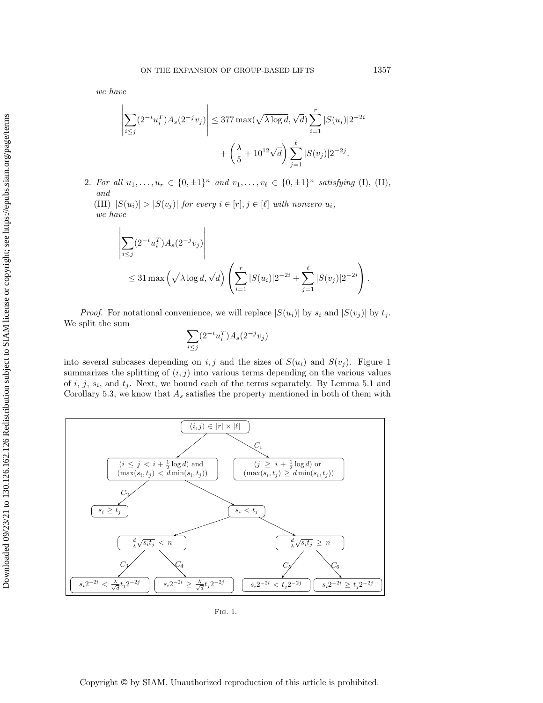we have

$$
\left| \sum_{i \le j} (2^{-i} u_i^T) A_s (2^{-j} v_j) \right| \le 377 \max(\sqrt{\lambda \log d}, \sqrt{d}) \sum_{i=1}^r |S(u_i)| 2^{-2i}
$$

$$
+ \left(\frac{\lambda}{5} + 10^{12} \sqrt{d}\right) \sum_{j=1}^\ell |S(v_j)| 2^{-2j}.
$$

2. For all  $u_1, \ldots, u_r \in \{0, \pm 1\}^n$  and  $v_1, \ldots, v_\ell \in \{0, \pm 1\}^n$  satisfying (I), (II), and

(III)  $|S(u_i)| > |S(v_j)|$  for every  $i \in [r], j \in [\ell]$  with nonzero  $u_i$ , we have

$$
\left| \sum_{i \leq j} (2^{-i} u_i^T) A_s (2^{-j} v_j) \right|
$$
  
 
$$
\leq 31 \max \left( \sqrt{\lambda \log d}, \sqrt{d} \right) \left( \sum_{i=1}^r |S(u_i)| 2^{-2i} + \sum_{j=1}^\ell |S(v_j)| 2^{-2i} \right).
$$

*Proof.* For notational convenience, we will replace  $|S(u_i)|$  by  $s_i$  and  $|S(v_i)|$  by  $t_i$ . We split the sum

$$
\sum_{i \le j} (2^{-i} u_i^T) A_s(2^{-j} v_j)
$$

into several subcases depending on i, j and the sizes of  $S(u_i)$  and  $S(v_i)$ . Figure [1](#page-19-0) summarizes the splitting of  $(i, j)$  into various terms depending on the various values of  $i, j, s_i$ , and  $t_j$ . Next, we bound each of the terms separately. By Lemma [5.1](#page-15-1) and Corollary [5.3,](#page-18-0) we know that  $A_s$  satisfies the property mentioned in both of them with

<span id="page-19-0"></span>

Fig. 1.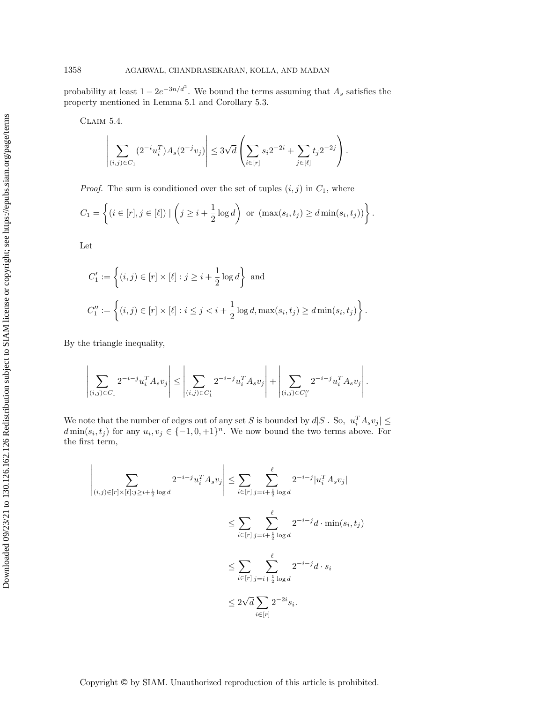probability at least  $1 - 2e^{-3n/d^2}$ . We bound the terms assuming that  $A_s$  satisfies the property mentioned in Lemma [5.1](#page-15-1) and Corollary [5.3.](#page-18-0)

<span id="page-20-0"></span>Claim 5.4.

$$
\left| \sum_{(i,j) \in C_1} (2^{-i} u_i^T) A_s(2^{-j} v_j) \right| \leq 3 \sqrt{d} \left( \sum_{i \in [r]} s_i 2^{-2i} + \sum_{j \in [\ell]} t_j 2^{-2j} \right).
$$

*Proof.* The sum is conditioned over the set of tuples  $(i, j)$  in  $C_1$ , where

$$
C_1 = \left\{ (i \in [r], j \in [\ell]) \mid \left( j \geq i + \frac{1}{2} \log d \right) \text{ or } (\max(s_i, t_j) \geq d \min(s_i, t_j)) \right\}.
$$

Let

$$
C'_1 := \left\{ (i,j) \in [r] \times [\ell] : j \ge i + \frac{1}{2} \log d \right\} \text{ and}
$$
  

$$
C''_1 := \left\{ (i,j) \in [r] \times [\ell] : i \le j < i + \frac{1}{2} \log d, \max(s_i, t_j) \ge d \min(s_i, t_j) \right\}.
$$

By the triangle inequality,

$$
\left| \sum_{(i,j) \in C_1} 2^{-i-j} u_i^T A_s v_j \right| \le \left| \sum_{(i,j) \in C'_1} 2^{-i-j} u_i^T A_s v_j \right| + \left| \sum_{(i,j) \in C''_1} 2^{-i-j} u_i^T A_s v_j \right|.
$$

We note that the number of edges out of any set S is bounded by  $d|S|$ . So,  $|u_i^T A_s v_j| \le$  $d \min(s_i, t_j)$  for any  $u_i, v_j \in \{-1, 0, +1\}^n$ . We now bound the two terms above. For the first term,

$$
\left| \sum_{(i,j)\in[r] \times [\ell]:j\geq i+\frac{1}{2}\log d} 2^{-i-j} u_i^T A_s v_j \right| \leq \sum_{i\in[r]} \sum_{j=i+\frac{1}{2}\log d}^{\ell} 2^{-i-j} |u_i^T A_s v_j|
$$
  

$$
\leq \sum_{i\in[r]} \sum_{j=i+\frac{1}{2}\log d}^{\ell} 2^{-i-j} d \cdot \min(s_i, t_j)
$$
  

$$
\leq \sum_{i\in[r]} \sum_{j=i+\frac{1}{2}\log d}^{\ell} 2^{-i-j} d \cdot s_i
$$
  

$$
\leq 2\sqrt{d} \sum_{i\in[r]} 2^{-2i} s_i.
$$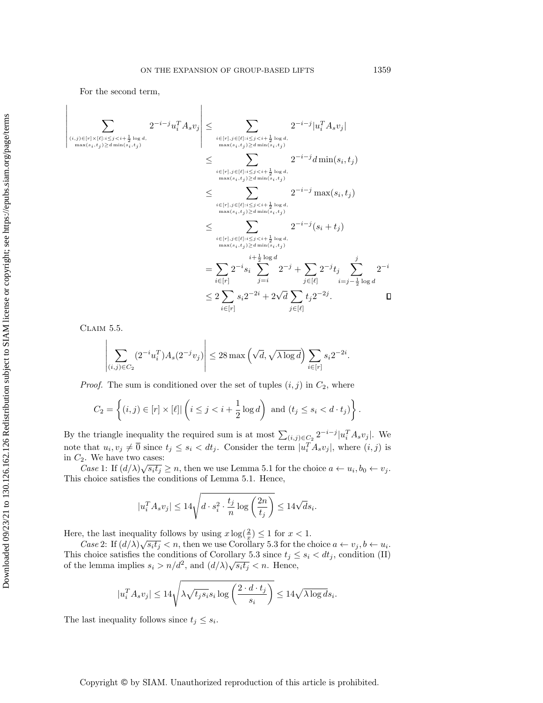$\overline{1}$ 

For the second term,

 $\overline{\phantom{a}}$  $\downarrow$  $\mathsf{I}$  $\overline{\phantom{a}}$  $\overline{\phantom{a}}$  $\overline{\phantom{a}}$  $\overline{\phantom{a}}$  $\begin{array}{c} \end{array}$ 

$$
\sum_{\substack{(i,j)\in [r]\times [\ell]:i\leq j\leq \sum_{\substack{i\in [r],j\in [\ell]:i\leq j\leq \sum_{\substack{i\in [r],j\in [\ell]:i\leq j\leq \sum_{\substack{i\in [r],j\in [\ell]:i\leq j\leq \sum_{\substack{i\in [r],j\in [\ell]:i\leq j\leq 2 \sum_{i\in [r]} s_i 2^{-2i} + 2\sqrt{d} \sum_{j\in [\ell]} t_j 2^{-2j}.
$$

<span id="page-21-0"></span>Claim 5.5.

$$
\left| \sum_{(i,j)\in C_2} (2^{-i} u_i^T) A_s(2^{-j} v_j) \right| \le 28 \max \left( \sqrt{d}, \sqrt{\lambda \log d} \right) \sum_{i\in [r]} s_i 2^{-2i}.
$$

*Proof.* The sum is conditioned over the set of tuples  $(i, j)$  in  $C_2$ , where

$$
C_2 = \left\{ (i,j) \in [r] \times [\ell] \mid \left( i \leq j < i + \frac{1}{2} \log d \right) \text{ and } (t_j \leq s_i < d \cdot t_j) \right\}.
$$

By the triangle inequality the required sum is at most  $\sum_{(i,j)\in C_2} 2^{-i-j} |u_i^T A_s v_j|$ . We note that  $u_i, v_j \neq \overline{0}$  since  $t_j \leq s_i < dt_j$ . Consider the term  $|u_i^T A_s v_j|$ , where  $(i, j)$  is in  $C_2$ . We have two cases:

Case 1: If  $(d/\lambda)\sqrt{s_it_j} \geq n$ , then we use Lemma [5.1](#page-15-1) for the choice  $a \leftarrow u_i, b_0 \leftarrow v_j$ . This choice satisfies the conditions of Lemma [5.1.](#page-15-1) Hence,

$$
|u_i^T A_s v_j| \le 14\sqrt{d \cdot s_i^2 \cdot \frac{t_j}{n} \log\left(\frac{2n}{t_j}\right)} \le 14\sqrt{d} s_i.
$$

Here, the last inequality follows by using  $x \log(\frac{2}{x}) \leq 1$  for  $x < 1$ .

Case 2: If  $(d/\lambda)\sqrt{s_it_j} < n$ , then we use Corollary [5.3](#page-18-0) for the choice  $a \leftarrow v_j, b \leftarrow u_i$ . This choice satisfies the conditions of Corollary [5.3](#page-18-0) since  $t_j \leq s_i \lt dt_j$ , condition (II) of the lemma implies  $s_i > n/d^2$ , and  $(d/\lambda)\sqrt{s_i t_j} < n$ . Hence,

$$
|u_i^T A_s v_j| \le 14 \sqrt{\lambda \sqrt{t_j s_i} s_i \log \left( \frac{2 \cdot d \cdot t_j}{s_i} \right)} \le 14 \sqrt{\lambda \log d s_i}.
$$

The last inequality follows since  $t_j \leq s_i$ .

 $\Box$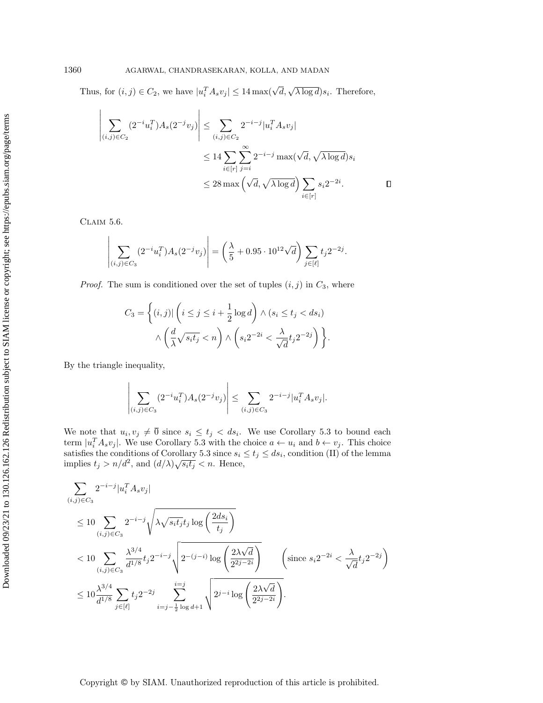Thus, for  $(i, j) \in C_2$ , we have  $|u_i^T A_s v_j| \leq 14 \max(\sqrt{d}, \sqrt{\lambda \log d}) s_i$ . Therefore,

$$
\left| \sum_{(i,j)\in C_2} (2^{-i}u_i^T)A_s(2^{-j}v_j) \right| \leq \sum_{(i,j)\in C_2} 2^{-i-j}|u_i^T A_s v_j|
$$
  

$$
\leq 14 \sum_{i\in[r]} \sum_{j=i}^{\infty} 2^{-i-j} \max(\sqrt{d}, \sqrt{\lambda \log d})s_i
$$
  

$$
\leq 28 \max(\sqrt{d}, \sqrt{\lambda \log d}) \sum_{i\in[r]} s_i 2^{-2i}.
$$

<span id="page-22-0"></span>Claim 5.6.

$$
\left| \sum_{(i,j) \in C_3} (2^{-i} u_i^T) A_s(2^{-j} v_j) \right| = \left( \frac{\lambda}{5} + 0.95 \cdot 10^{12} \sqrt{d} \right) \sum_{j \in [\ell]} t_j 2^{-2j}.
$$

*Proof.* The sum is conditioned over the set of tuples  $(i, j)$  in  $C_3$ , where

$$
C_3 = \left\{ (i,j) | \left( i \le j \le i + \frac{1}{2} \log d \right) \land (s_i \le t_j < ds_i) \land \left( \frac{d}{\lambda} \sqrt{s_i t_j} < n \right) \land \left( s_i 2^{-2i} < \frac{\lambda}{\sqrt{d}} t_j 2^{-2j} \right) \right\}.
$$

By the triangle inequality,

$$
\left| \sum_{(i,j) \in C_3} (2^{-i} u_i^T) A_s(2^{-j} v_j) \right| \le \sum_{(i,j) \in C_3} 2^{-i-j} |u_i^T A_s v_j|.
$$

We note that  $u_i, v_j \neq 0$  since  $s_i \leq t_j < ds_i$ . We use Corollary [5.3](#page-18-0) to bound each term  $|u_i^T A_s v_j|$ . We use Corollary [5.3](#page-18-0) with the choice  $a \leftarrow u_i$  and  $b \leftarrow v_j$ . This choice satisfies the conditions of Corollary [5.3](#page-18-0) since  $s_i \le t_j \le ds_i$ , condition (II) of the lemma implies  $t_j > n/d^2$ , and  $(d/\lambda)\sqrt{s_i t_j} < n$ . Hence,

$$
\sum_{(i,j)\in C_3} 2^{-i-j} |u_i^T A_s v_j|
$$
\n
$$
\leq 10 \sum_{(i,j)\in C_3} 2^{-i-j} \sqrt{\lambda \sqrt{s_i t_j} t_j \log\left(\frac{2ds_i}{t_j}\right)}
$$
\n
$$
< 10 \sum_{(i,j)\in C_3} \frac{\lambda^{3/4}}{d^{1/8}} t_j 2^{-i-j} \sqrt{2^{-(j-i)} \log\left(\frac{2\lambda\sqrt{d}}{2^{2j-2i}}\right)} \qquad \left(\text{since } s_i 2^{-2i} < \frac{\lambda}{\sqrt{d}} t_j 2^{-2j}\right)
$$
\n
$$
\leq 10 \frac{\lambda^{3/4}}{d^{1/8}} \sum_{j \in [\ell]} t_j 2^{-2j} \sum_{i=j-\frac{1}{2}\log d+1}^{i=j} \sqrt{2^{j-i} \log\left(\frac{2\lambda\sqrt{d}}{2^{2j-2i}}\right)}.
$$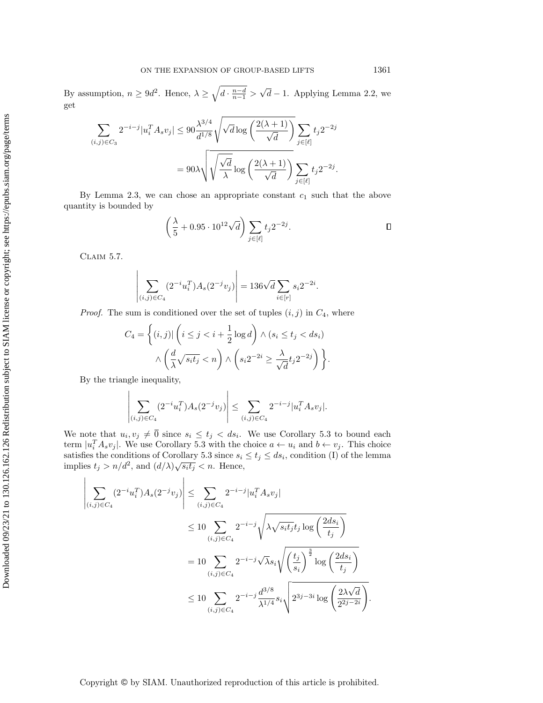By assumption,  $n \ge 9d^2$ . Hence,  $\lambda \ge \sqrt{d \cdot \frac{n-d}{n-1}} > \sqrt{d} - 1$ . Applying Lemma [2.2,](#page-6-1) we get

$$
\sum_{(i,j)\in C_3} 2^{-i-j}|u_i^T A_s v_j| \leq 90 \frac{\lambda^{3/4}}{d^{1/8}} \sqrt{\sqrt{d} \log\left(\frac{2(\lambda+1)}{\sqrt{d}}\right)} \sum_{j\in[\ell]} t_j 2^{-2j}
$$

$$
= 90\lambda \sqrt{\sqrt{\frac{\sqrt{d}}{\lambda}} \log\left(\frac{2(\lambda+1)}{\sqrt{d}}\right)} \sum_{j\in[\ell]} t_j 2^{-2j}.
$$

By Lemma [2.3,](#page-7-1) we can chose an appropriate constant  $c_1$  such that the above quantity is bounded by

$$
\left(\frac{\lambda}{5} + 0.95 \cdot 10^{12} \sqrt{d}\right) \sum_{j \in [\ell]} t_j 2^{-2j}.
$$

<span id="page-23-0"></span>Claim 5.7.

$$
\left| \sum_{(i,j) \in C_4} (2^{-i} u_i^T) A_s(2^{-j} v_j) \right| = 136 \sqrt{d} \sum_{i \in [r]} s_i 2^{-2i}.
$$

*Proof.* The sum is conditioned over the set of tuples  $(i, j)$  in  $C_4$ , where

$$
C_4 = \left\{ (i,j) | \left( i \le j < i + \frac{1}{2} \log d \right) \land (s_i \le t_j < ds_i) \land \left( \frac{d}{\lambda} \sqrt{s_i t_j} < n \right) \land \left( s_i 2^{-2i} \ge \frac{\lambda}{\sqrt{d}} t_j 2^{-2j} \right) \right\}.
$$

By the triangle inequality,

$$
\left| \sum_{(i,j) \in C_4} (2^{-i} u_i^T) A_s(2^{-j} v_j) \right| \le \sum_{(i,j) \in C_4} 2^{-i-j} |u_i^T A_s v_j|.
$$

We note that  $u_i, v_j \neq 0$  since  $s_i \leq t_j < ds_i$ . We use Corollary [5.3](#page-18-0) to bound each term  $|u_i^T A_s v_j|$ . We use Corollary [5.3](#page-18-0) with the choice  $a \leftarrow u_i$  and  $b \leftarrow v_j$ . This choice satisfies the conditions of Corollary [5.3](#page-18-0) since  $s_i \le t_j \le ds_i$ , condition (I) of the lemma implies  $t_j > n/d^2$ , and  $(d/\lambda)\sqrt{s_i t_j} < n$ . Hence,

$$
\left| \sum_{(i,j)\in C_4} (2^{-i}u_i^T)A_s(2^{-j}v_j) \right| \leq \sum_{(i,j)\in C_4} 2^{-i-j}|u_i^T A_s v_j|
$$
  
\n
$$
\leq 10 \sum_{(i,j)\in C_4} 2^{-i-j} \sqrt{\lambda \sqrt{s_i t_j} t_j \log \left(\frac{2ds_i}{t_j}\right)}
$$
  
\n
$$
= 10 \sum_{(i,j)\in C_4} 2^{-i-j} \sqrt{\lambda s_i} \sqrt{\left(\frac{t_j}{s_i}\right)^{\frac{3}{2}} \log \left(\frac{2ds_i}{t_j}\right)}
$$
  
\n
$$
\leq 10 \sum_{(i,j)\in C_4} 2^{-i-j} \frac{d^{3/8}}{\lambda^{1/4}} s_i \sqrt{2^{3j-3i} \log \left(\frac{2\lambda\sqrt{d}}{2^{2j-2i}}\right)}.
$$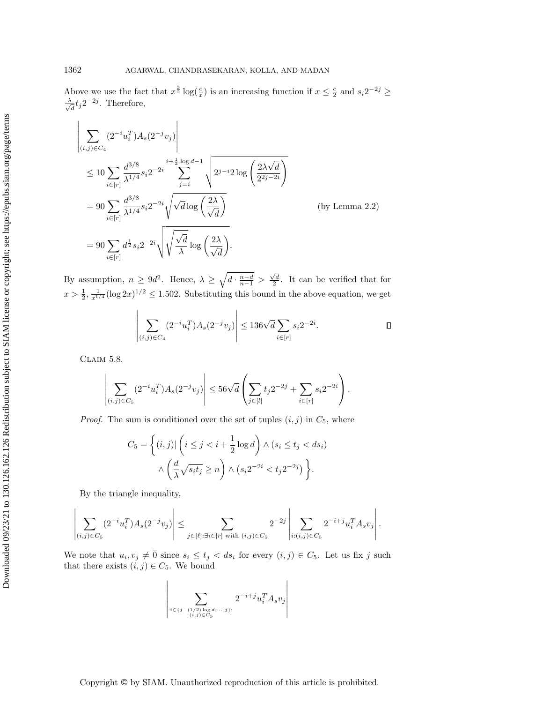Above we use the fact that  $x^{\frac{3}{2}} \log(\frac{c}{x})$  is an increasing function if  $x \leq \frac{c}{2}$  and  $s_i 2^{-2j} \geq$ √ λ  $\frac{1}{d}t_j 2^{-2j}$ . Therefore,

$$
\begin{vmatrix}\n\sum_{(i,j)\in C_4} (2^{-i}u_i^T) A_s(2^{-j}v_j)\n\end{vmatrix}\n= 90 \sum_{i\in [r]} \frac{d^{3/8}}{\lambda^{1/4}} s_i 2^{-2i} \sum_{j=i}^{i+\frac{1}{2}\log d-1} \sqrt{2^{j-i}2\log\left(\frac{2\lambda\sqrt{d}}{2^{2j-2i}}\right)}\n= 90 \sum_{i\in [r]} d^{\frac{3}{2}/8} s_i 2^{-2i} \sqrt{\sqrt{d}\log\left(\frac{2\lambda}{\sqrt{d}}\right)}\n\text{By assumption, } n \geq 9d^2. \text{ Hence, } \lambda \geq \sqrt{d \cdot \frac{n-d}{n}} > \frac{\sqrt{d}}{\sqrt{d}}. \text{ It can be verified that } x > \frac{1}{2}, \frac{1}{z^{1/4}} (\log 2x)^{1/2} \leq 1.502. \text{ Substituting this bound in the above equation, we have}
$$
\n
$$
\begin{vmatrix}\n\sum_{(i,j)\in C_4} (2^{-i}u_i^T) A_s(2^{-j}v_j)\n\end{vmatrix}\n\leq 136\sqrt{d} \sum_{i\in [r]} s_i 2^{-2i}.
$$
\nCLAM 5.8.

\n
$$
\begin{vmatrix}\n\sum_{(i,j)\in C_5} (2^{-i}u_i^T) A_s(2^{-j}v_j)\n\end{vmatrix}\n\leq 56\sqrt{d} \left(\sum_{j\in [l]} t_j 2^{-2j} + \sum_{i\in [r]} s_i 2^{-2i}\right).
$$
\nProof. The sum is conditioned over the set of tuples  $(i, j)$  in  $C_5$ , where

\n
$$
C_5 = \left\{ (i, j) \left( i \leq j < i + \frac{1}{2} \log d \right) \wedge (s_i \leq t_j < ds)\n\end{vmatrix} \times \begin{vmatrix}\n\sum_{(i,j)\in C_5} (2^{-i}u_i^T) A_s(2^{-j}v_j)\n\end{vmatrix}\n\leq 56\sqrt{d} \left(\sum_{j\in [l]} t_j 2^{-2j} + \sum_{i\in [r]} s_i 2^{-2i}\right).
$$
\nProof. The sum is conditioned over the set of tuples  $(i, j)$  in  $C_5$ ,

By assumption,  $n \geq 9d^2$ . Hence,  $\lambda \geq \sqrt{d \cdot \frac{n-d}{n-1}} > \frac{\sqrt{d}}{2}$ . It can be verified that for  $x > \frac{1}{2}, \frac{1}{x^{1/4}}(\log 2x)^{1/2} \leq 1.502$ . Substituting this bound in the above equation, we get

$$
\left| \sum_{(i,j)\in C_4} (2^{-i} u_i^T) A_s(2^{-j} v_j) \right| \le 136\sqrt{d} \sum_{i\in [r]} s_i 2^{-2i}.
$$

<span id="page-24-0"></span>Claim 5.8.

$$
\left| \sum_{(i,j) \in C_5} (2^{-i} u_i^T) A_s(2^{-j} v_j) \right| \leq 56 \sqrt{d} \left( \sum_{j \in [l]} t_j 2^{-2j} + \sum_{i \in [r]} s_i 2^{-2i} \right).
$$

*Proof.* The sum is conditioned over the set of tuples  $(i, j)$  in  $C_5$ , where

$$
C_5 = \left\{ (i,j) | \left( i \le j < i + \frac{1}{2} \log d \right) \land (s_i \le t_j < ds_i) \land \left( \frac{d}{\lambda} \sqrt{s_i t_j} \ge n \right) \land (s_i 2^{-2i} < t_j 2^{-2j}) \right\}.
$$

By the triangle inequality,

$$
\left|\sum_{(i,j)\in C_5} (2^{-i}u_i^T)A_s(2^{-j}v_j)\right|\leq \sum_{j\in [\ell]: \exists i\in[r] \text{ with } (i,j)\in C_5} 2^{-2j}\left|\sum_{i:(i,j)\in C_5} 2^{-i+j}u_i^T A_s v_j\right|.
$$

We note that  $u_i, v_j \neq 0$  since  $s_i \leq t_j < ds_i$  for every  $(i, j) \in C_5$ . Let us fix j such that there exists  $(i, j) \in C_5$ . We bound

$$
\left|\sum_{\substack{i \in \{j-(1/2)\log d,\ldots,j\}: \\(i,j) \in C_5}} 2^{-i+j} u_i^T A_s v_j\right|
$$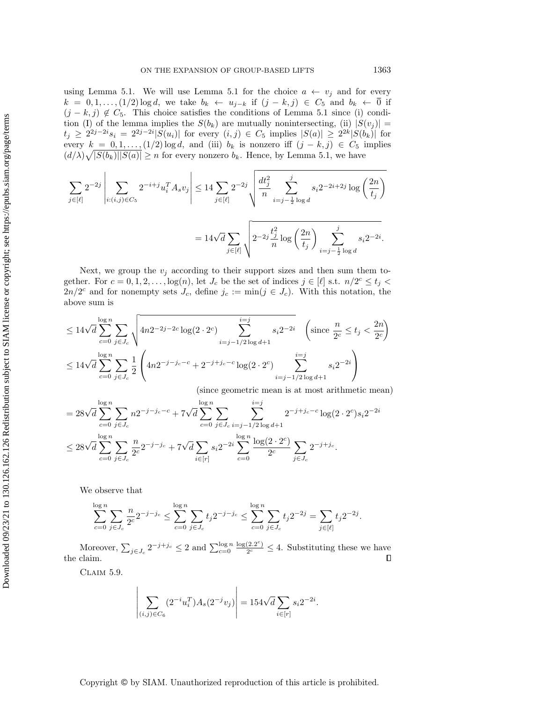using Lemma [5.1.](#page-15-1) We will use Lemma [5.1](#page-15-1) for the choice  $a \leftarrow v_j$  and for every  $k = 0, 1, \ldots, (1/2) \log d$ , we take  $b_k \leftarrow u_{j-k}$  if  $(j - k, j) \in C_5$  and  $b_k \leftarrow \overline{0}$  if  $(j - k, j) \notin C_5$ . This choice satisfies the conditions of Lemma [5.1](#page-15-1) since (i) condition (I) of the lemma implies the  $S(b_k)$  are mutually nonintersecting, (ii)  $|S(v_j)| =$  $t_j \geq 2^{2j-2i} s_i = 2^{2j-2i} |S(u_i)|$  for every  $(i, j) \in C_5$  implies  $|S(a)| \geq 2^{2k} |S(b_k)|$  for every  $k = 0, 1, \ldots, (1/2) \log d$ , and (iii)  $b_k$  is nonzero iff  $(j - k, j) \in C_5$  implies  $\left(\frac{d}{\lambda}\right)\sqrt{|S(b_k)||S(a)|} \geq n$  for every nonzero  $b_k$ . Hence, by Lemma [5.1,](#page-15-1) we have

$$
\sum_{j \in [\ell]} 2^{-2j} \left| \sum_{i:(i,j) \in C_5} 2^{-i+j} u_i^T A_s v_j \right| \le 14 \sum_{j \in [\ell]} 2^{-2j} \sqrt{\frac{dt_j^2}{n} \sum_{i=j-\frac{1}{2} \log d} \frac{i}{s_i 2^{-2i+2j} \log \left(\frac{2n}{t_j}\right)}}\right|
$$
  
=  $14\sqrt{d} \sum_{j \in [\ell]} \sqrt{2^{-2j} \frac{t_j^2}{n} \log \left(\frac{2n}{t_j}\right)} \sum_{i=j-\frac{1}{2} \log d} \frac{i}{s_i 2^{-2i}}.$ 

Next, we group the  $v_j$  according to their support sizes and then sum them together. For  $c = 0, 1, 2, ..., \log(n)$ , let  $J_c$  be the set of indices  $j \in [\ell]$  s.t.  $n/2^c \le t_j <$  $2n/2^c$  and for nonempty sets  $J_c$ , define  $j_c := \min(j \in J_c)$ . With this notation, the above sum is

$$
\leq 14\sqrt{d} \sum_{c=0}^{\log n} \sum_{j \in J_c} \sqrt{4n2^{-2j-2c} \log(2 \cdot 2^c) \sum_{i=j-1/2}^{i=j} s_i 2^{-2i}} \left( \text{since } \frac{n}{2^c} \leq t_j < \frac{2n}{2^c} \right)
$$
  

$$
\leq 14\sqrt{d} \sum_{c=0}^{\log n} \sum_{j \in J_c} \frac{1}{2} \left( 4n2^{-j-j_c-c} + 2^{-j+j_c-c} \log(2 \cdot 2^c) \sum_{i=j-1/2}^{i=j} s_i 2^{-2i} \right)
$$

(since geometric mean is at most arithmetic mean)

$$
= 28\sqrt{d} \sum_{c=0}^{\log n} \sum_{j \in J_c} n2^{-j-j_c-c} + 7\sqrt{d} \sum_{c=0}^{\log n} \sum_{j \in J_c} \sum_{i=j-1/2 \log d+1}^{i=j} 2^{-j+j_c-c} \log(2 \cdot 2^c) s_i 2^{-2i}
$$
  

$$
\leq 28\sqrt{d} \sum_{c=0}^{\log n} \sum_{j \in J_c} \frac{n}{2^c} 2^{-j-j_c} + 7\sqrt{d} \sum_{i \in [r]} s_i 2^{-2i} \sum_{c=0}^{\log n} \frac{\log(2 \cdot 2^c)}{2^c} \sum_{j \in J_c} 2^{-j+j_c}.
$$

We observe that

$$
\sum_{c=0}^{\log n} \sum_{j \in J_c} \frac{n}{2^c} 2^{-j-j_c} \le \sum_{c=0}^{\log n} \sum_{j \in J_c} t_j 2^{-j-j_c} \le \sum_{c=0}^{\log n} \sum_{j \in J_c} t_j 2^{-2j} = \sum_{j \in [\ell]} t_j 2^{-2j}.
$$

Moreover,  $\sum_{j\in J_c} 2^{-j+j_c} \leq 2$  and  $\sum_{c=0}^{\log n} \frac{\log(2.2^c)}{2^c}$  $\frac{(2.2^{\degree})}{2^c} \leq 4$ . Substituting these we have the claim.

<span id="page-25-0"></span>Claim 5.9.

$$
\left| \sum_{(i,j) \in C_6} (2^{-i} u_i^T) A_s (2^{-j} v_j) \right| = 154 \sqrt{d} \sum_{i \in [r]} s_i 2^{-2i}.
$$

Downloaded 09/23/21 to 130.126.162.126 Redistribution subject to SIAM license or copyright; see https://epubs.siam.org/page/terms Downloaded 09/23/21 to 130.126.162.126 Redistribution subject to SIAM license or copyright; see https://epubs.siam.org/page/terms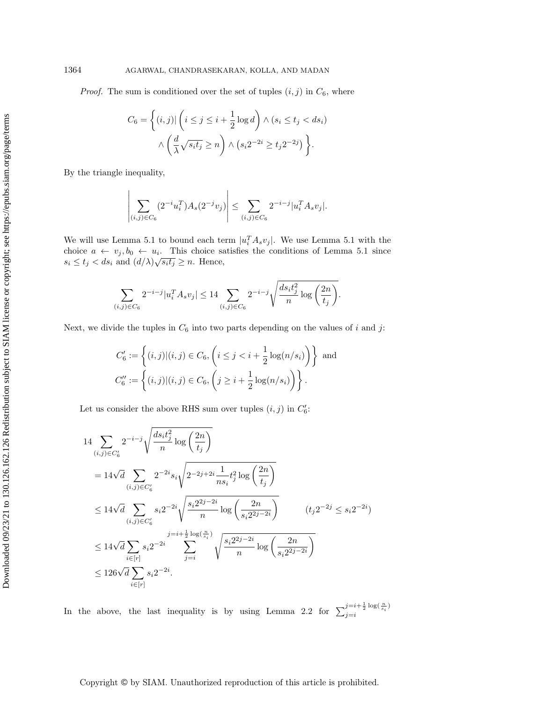*Proof.* The sum is conditioned over the set of tuples  $(i, j)$  in  $C_6$ , where

$$
C_6 = \left\{ (i,j) | \left( i \le j \le i + \frac{1}{2} \log d \right) \land (s_i \le t_j < ds_i) \right\}
$$

$$
\land \left( \frac{d}{\lambda} \sqrt{s_i t_j} \ge n \right) \land (s_i 2^{-2i} \ge t_j 2^{-2j}) \right\}.
$$

By the triangle inequality,

$$
\left| \sum_{(i,j) \in C_6} (2^{-i} u_i^T) A_s(2^{-j} v_j) \right| \le \sum_{(i,j) \in C_6} 2^{-i-j} |u_i^T A_s v_j|.
$$

We will use Lemma [5.1](#page-15-1) to bound each term  $|u_i^T A_s v_j|$ . We use Lemma 5.1 with the choice  $a \leftarrow v_j, b_0 \leftarrow u_i$ . This choice satisfies the conditions of Lemma [5.1](#page-15-1) since  $s_i \le t_j < ds_i$  and  $(d/\lambda)\sqrt{s_i t_j} \ge n$ . Hence,

$$
\sum_{(i,j)\in C_6} 2^{-i-j}|u_i^T A_s v_j| \le 14 \sum_{(i,j)\in C_6} 2^{-i-j} \sqrt{\frac{ds_i t_j^2}{n} \log\left(\frac{2n}{t_j}\right)}.
$$

Next, we divide the tuples in  $C_6$  into two parts depending on the values of i and j:

$$
C'_6 := \left\{ (i,j) | (i,j) \in C_6, \left( i \le j < i + \frac{1}{2} \log(n/s_i) \right) \right\} \text{ and }
$$
\n
$$
C''_6 := \left\{ (i,j) | (i,j) \in C_6, \left( j \ge i + \frac{1}{2} \log(n/s_i) \right) \right\}.
$$

Let us consider the above RHS sum over tuples  $(i, j)$  in  $C'_6$ :

$$
14 \sum_{(i,j)\in C'_6} 2^{-i-j} \sqrt{\frac{ds_i t_j^2}{n} \log\left(\frac{2n}{t_j}\right)}
$$
  
=  $14\sqrt{d} \sum_{(i,j)\in C'_6} 2^{-2i} s_i \sqrt{2^{-2j+2i} \frac{1}{ns_i} t_j^2 \log\left(\frac{2n}{t_j}\right)}$   
 $\leq 14\sqrt{d} \sum_{(i,j)\in C'_6} s_i 2^{-2i} \sqrt{\frac{s_i 2^{2j-2i}}{n} \log\left(\frac{2n}{s_i 2^{2j-2i}}\right)}$   $(t_j 2^{-2j} \leq s_i 2^{-2i})$   
 $\leq 14\sqrt{d} \sum_{i\in[r]} s_i 2^{-2i} \sum_{j=i}^{j=i+\frac{1}{2}\log\left(\frac{n}{s_i}\right)} \sqrt{\frac{s_i 2^{2j-2i}}{n} \log\left(\frac{2n}{s_i 2^{2j-2i}}\right)}$   
 $\leq 126\sqrt{d} \sum_{i\in[r]} s_i 2^{-2i}.$ 

In the above, the last inequality is by using Lemma [2.2](#page-6-1) for  $\sum_{i=i}^{j=i+\frac{1}{2}\log(\frac{n}{s_i})}$  $j = i$ 

Copyright © by SIAM. Unauthorized reproduction of this article is prohibited.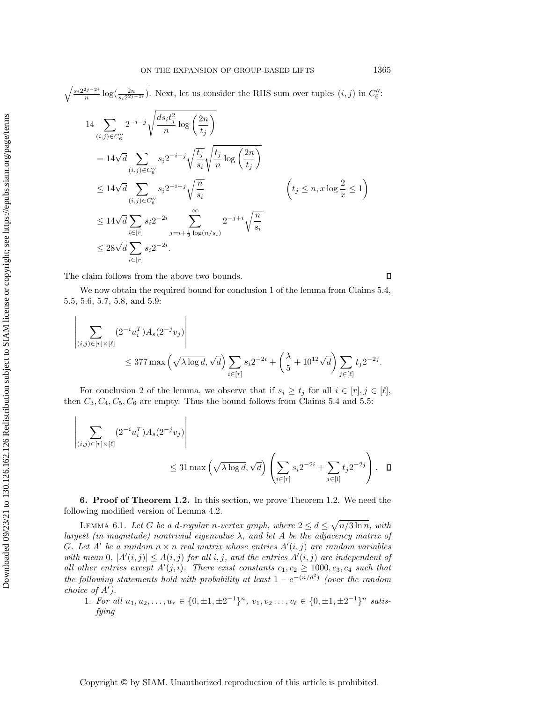$$
(i,j)\in C''_6 \t\t V^n \t\t (i,j)
$$
  
=  $14\sqrt{d} \sum_{(i,j)\in C''_6} s_i 2^{-i-j} \sqrt{\frac{t_j}{s_i}} \sqrt{\frac{t_j}{n} \log\left(\frac{2n}{t_j}\right)}$   
 $\leq 14\sqrt{d} \sum_{(i,j)\in C''_6} s_i 2^{-i-j} \sqrt{\frac{n}{s_i}}$   $(t_j \leq n, x \log \frac{2}{x} \leq 1)$   
 $\leq 14\sqrt{d} \sum_{i\in[r]} s_i 2^{-2i} \sum_{j=i+\frac{1}{2} \log(n/s_i)} 2^{-j+i} \sqrt{\frac{n}{s_i}}$   
 $\leq 28\sqrt{d} \sum_{i\in[r]} s_i 2^{-2i}.$ 

The claim follows from the above two bounds.

 $\Box$ 

We now obtain the required bound for conclusion 1 of the lemma from Claims [5.4,](#page-20-0) [5.5,](#page-21-0) [5.6,](#page-22-0) [5.7,](#page-23-0) [5.8,](#page-24-0) and [5.9:](#page-25-0)

$$
\left| \sum_{(i,j)\in[r]\times[\ell]} (2^{-i}u_i^T)A_s(2^{-j}v_j) \right|
$$
  
 
$$
\leq 377 \max \left( \sqrt{\lambda \log d}, \sqrt{d} \right) \sum_{i\in[r]} s_i 2^{-2i} + \left( \frac{\lambda}{5} + 10^{12} \sqrt{d} \right) \sum_{j\in[\ell]} t_j 2^{-2j}.
$$

For conclusion 2 of the lemma, we observe that if  $s_i \ge t_j$  for all  $i \in [r], j \in [\ell],$ then  $C_3, C_4, C_5, C_6$  are empty. Thus the bound follows from Claims [5.4](#page-20-0) and [5.5:](#page-21-0)

$$
\left| \sum_{(i,j)\in[r]\times[\ell]} (2^{-i}u_i^T)A_s(2^{-j}v_j) \right|
$$
  
 
$$
\leq 31 \max\left(\sqrt{\lambda \log d}, \sqrt{d}\right) \left(\sum_{i\in[r]} s_i 2^{-2i} + \sum_{j\in[l]} t_j 2^{-2j}\right). \quad \Box
$$

<span id="page-27-0"></span>6. Proof of Theorem [1.2.](#page-2-0) In this section, we prove Theorem [1.2.](#page-2-0) We need the following modified version of Lemma [4.2.](#page-11-2)

<span id="page-27-1"></span>LEMMA 6.1. Let G be a d-regular n-vertex graph, where  $2 \le d \le \sqrt{n/3 \ln n}$ , with largest (in magnitude) nontrivial eigenvalue  $\lambda$ , and let A be the adjacency matrix of G. Let  $A'$  be a random  $n \times n$  real matrix whose entries  $A'(i, j)$  are random variables with mean 0,  $|A'(i,j)| \leq A(i,j)$  for all i, j, and the entries  $A'(i,j)$  are independent of all other entries except  $A'(j, i)$ . There exist constants  $c_1, c_2 \geq 1000, c_3, c_4$  such that the following statements hold with probability at least  $1 - e^{-(n/d^2)}$  (over the random choice of  $A'$ ).

1. For all  $u_1, u_2, \ldots, u_r \in \{0, \pm 1, \pm 2^{-1}\}^n$ ,  $v_1, v_2 \ldots, v_\ell \in \{0, \pm 1, \pm 2^{-1}\}^n$  satisfying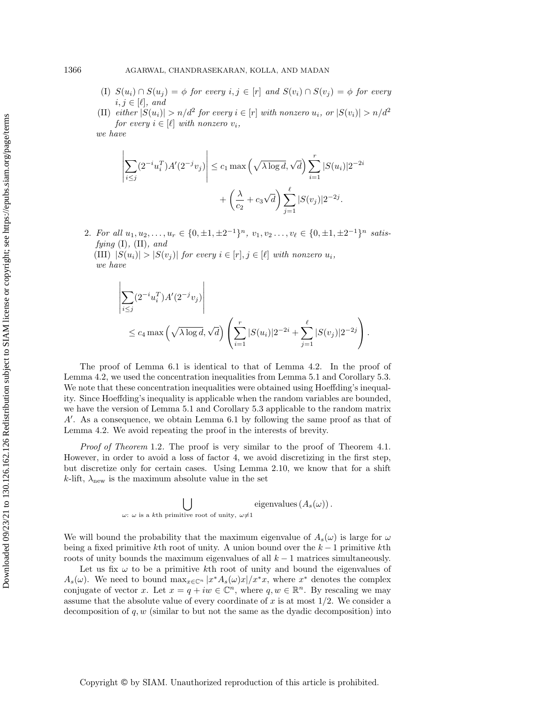- (I)  $S(u_i) \cap S(u_j) = \phi$  for every  $i, j \in [r]$  and  $S(v_i) \cap S(v_j) = \phi$  for every  $i, j \in [\ell], \text{ and}$
- (II) either  $|S(u_i)| > n/d^2$  for every  $i \in [r]$  with nonzero  $u_i$ , or  $|S(v_i)| > n/d^2$ for every  $i \in [\ell]$  with nonzero  $v_i$ ,

we have

 $\overline{\phantom{a}}$  $\overline{\phantom{a}}$  $\overline{\phantom{a}}$  $\overline{\phantom{a}}$  $\overline{\phantom{a}}$  $\overline{\phantom{a}}$ 

$$
\left| \sum_{i \le j} (2^{-i} u_i^T) A'(2^{-j} v_j) \right| \le c_1 \max \left( \sqrt{\lambda \log d}, \sqrt{d} \right) \sum_{i=1}^r |S(u_i)| 2^{-2i}
$$

$$
+ \left( \frac{\lambda}{c_2} + c_3 \sqrt{d} \right) \sum_{j=1}^\ell |S(v_j)| 2^{-2j}.
$$

2. For all  $u_1, u_2, \ldots, u_r \in \{0, \pm 1, \pm 2^{-1}\}^n$ ,  $v_1, v_2, \ldots, v_\ell \in \{0, \pm 1, \pm 2^{-1}\}^n$  satisfying  $(I)$ ,  $(II)$ , and

(III)  $|S(u_i)| > |S(v_i)|$  for every  $i \in [r], j \in [\ell]$  with nonzero  $u_i$ , we have

$$
\sum_{i \leq j} (2^{-i} u_i^T) A'(2^{-j} v_j) \Bigg|
$$
  
 
$$
\leq c_4 \max \left( \sqrt{\lambda \log d}, \sqrt{d} \right) \left( \sum_{i=1}^r |S(u_i)| 2^{-2i} + \sum_{j=1}^\ell |S(v_j)| 2^{-2j} \right).
$$

The proof of Lemma [6.1](#page-27-1) is identical to that of Lemma [4.2.](#page-11-2) In the proof of Lemma [4.2,](#page-11-2) we used the concentration inequalities from Lemma [5.1](#page-15-1) and Corollary [5.3.](#page-18-0) We note that these concentration inequalities were obtained using Hoeffding's inequality. Since Hoeffding's inequality is applicable when the random variables are bounded, we have the version of Lemma [5.1](#page-15-1) and Corollary [5.3](#page-18-0) applicable to the random matrix  $A'$ . As a consequence, we obtain Lemma [6.1](#page-27-1) by following the same proof as that of Lemma [4.2.](#page-11-2) We avoid repeating the proof in the interests of brevity.

*Proof of Theorem* [1.2](#page-2-0). The proof is very similar to the proof of Theorem [4.1.](#page-11-0) However, in order to avoid a loss of factor 4, we avoid discretizing in the first step, but discretize only for certain cases. Using Lemma [2.10,](#page-8-3) we know that for a shift k-lift,  $\lambda_{\text{new}}$  is the maximum absolute value in the set

$$
\bigcup_{\omega:~\omega~\textrm{is a }k\textrm{th primitive root of unity},~\omega\neq 1}~\textrm{eigenvalues} \left(A_s(\omega)\right).
$$

We will bound the probability that the maximum eigenvalue of  $A_s(\omega)$  is large for  $\omega$ being a fixed primitive kth root of unity. A union bound over the  $k-1$  primitive kth roots of unity bounds the maximum eigenvalues of all  $k - 1$  matrices simultaneously.

Let us fix  $\omega$  to be a primitive kth root of unity and bound the eigenvalues of  $A_s(\omega)$ . We need to bound  $\max_{x \in \mathbb{C}^n} |x^* A_s(\omega) x| / x^* x$ , where  $x^*$  denotes the complex conjugate of vector x. Let  $x = q + iw \in \mathbb{C}^n$ , where  $q, w \in \mathbb{R}^n$ . By rescaling we may assume that the absolute value of every coordinate of  $x$  is at most  $1/2$ . We consider a decomposition of  $q, w$  (similar to but not the same as the dyadic decomposition) into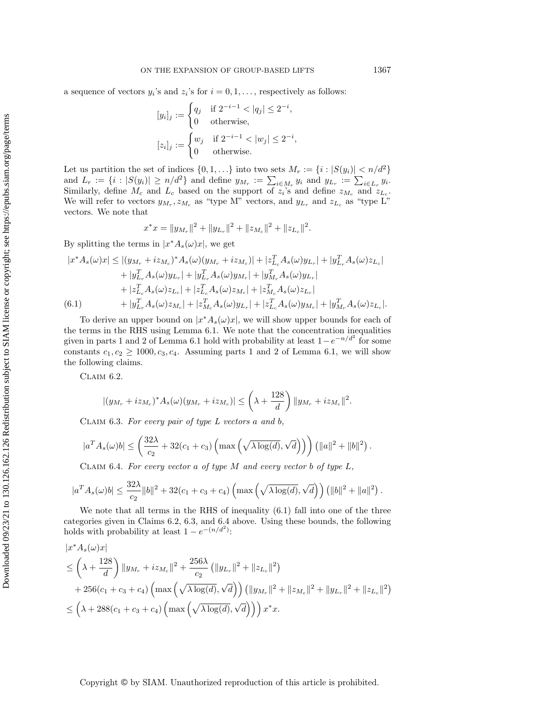a sequence of vectors  $y_i$ 's and  $z_i$ 's for  $i = 0, 1, \ldots$ , respectively as follows:

$$
[y_i]_j := \begin{cases} q_j & \text{if } 2^{-i-1} < |q_j| \leq 2^{-i}, \\ 0 & \text{otherwise}, \end{cases}
$$

$$
[z_i]_j := \begin{cases} w_j & \text{if } 2^{-i-1} < |w_j| \leq 2^{-i}, \\ 0 & \text{otherwise}. \end{cases}
$$

Let us partition the set of indices  $\{0, 1, ...\}$  into two sets  $M_r := \{i : |S(y_i)| < n/d^2\}$ and  $L_r := \{i : |S(y_i)| \ge n/d^2\}$  and define  $y_{M_r} := \sum_{i \in M_r} y_i$  and  $y_{L_r} := \sum_{i \in L_r} y_i$ . Similarly, define  $M_c$  and  $L_c$  based on the support of  $z_i$ 's and define  $z_{M_c}$  and  $z_{L_c}$ . We will refer to vectors  $y_{M_r}, z_{M_c}$  as "type M" vectors, and  $y_{L_r}$  and  $z_{L_c}$  as "type L" vectors. We note that

$$
x^*x = \|y_{M_r}\|^2 + \|y_{L_r}\|^2 + \|z_{M_c}\|^2 + \|z_{L_c}\|^2.
$$

By splitting the terms in  $|x^*A_s(\omega)x|$ , we get

$$
|x^* A_s(\omega)x| \le |(y_{M_r} + iz_{M_c})^* A_s(\omega)(y_{M_r} + iz_{M_c})| + |z_{L_c}^T A_s(\omega)y_{L_r}| + |y_{L_r}^T A_s(\omega)z_{L_c}|
$$
  
+ |y\_{L\_r}^T A\_s(\omega)y\_{L\_r}| + |y\_{L\_r}^T A\_s(\omega)y\_{M\_r}| + |y\_{M\_r}^T A\_s(\omega)y\_{L\_r}|  
+ |z\_{L\_c}^T A\_s(\omega)z\_{L\_c}| + |z\_{L\_c}^T A\_s(\omega)z\_{M\_c}| + |z\_{M\_c}^T A\_s(\omega)z\_{L\_c}|  
(6.1) + |y\_{L\_r}^T A\_s(\omega)z\_{M\_c}| + |z\_{M\_c}^T A\_s(\omega)y\_{L\_r}| + |z\_{L\_c}^T A\_s(\omega)y\_{M\_r}| + |y\_{M\_r}^T A\_s(\omega)z\_{L\_c}|.

<span id="page-29-0"></span>To derive an upper bound on  $|x^*A_s(\omega)x|$ , we will show upper bounds for each of the terms in the RHS using Lemma [6.1.](#page-27-1) We note that the concentration inequalities given in parts 1 and 2 of Lemma [6.1](#page-27-1) hold with probability at least  $1 - e^{-n/d^2}$  for some constants  $c_1, c_2 \ge 1000, c_3, c_4$ . Assuming parts 1 and 2 of Lemma [6.1,](#page-27-1) we will show the following claims.

<span id="page-29-1"></span>Claim 6.2.

$$
|(y_{M_r} + iz_{M_c})^* A_s(\omega)(y_{M_r} + iz_{M_c})| \leq \left(\lambda + \frac{128}{d}\right) \|y_{M_r} + iz_{M_c}\|^2.
$$

<span id="page-29-2"></span>CLAIM 6.3. For every pair of type  $L$  vectors a and  $b$ ,

$$
|a^T A_s(\omega)b| \leq \left(\frac{32\lambda}{c_2} + 32(c_1+c_3)\left(\max\left(\sqrt{\lambda\log(d)}, \sqrt{d}\right)\right)\right) \left(\|a\|^2 + \|b\|^2\right).
$$

<span id="page-29-3"></span>CLAIM 6.4. For every vector a of type  $M$  and every vector b of type  $L$ ,

$$
|a^T A_s(\omega) b| \le \frac{32\lambda}{c_2} \|b\|^2 + 32(c_1 + c_3 + c_4) \left( \max\left(\sqrt{\lambda \log(d)}, \sqrt{d}\right) \right) \left(\|b\|^2 + \|a\|^2\right).
$$

We note that all terms in the RHS of inequality  $(6.1)$  fall into one of the three categories given in Claims [6.2,](#page-29-1) [6.3,](#page-29-2) and [6.4](#page-29-3) above. Using these bounds, the following holds with probability at least  $1 - e^{-(n/d^2)}$ :

$$
|x^* A_s(\omega)x|
$$
  
\n
$$
\leq \left(\lambda + \frac{128}{d}\right) \|y_{M_r} + iz_{M_c}\|^2 + \frac{256\lambda}{c_2} \left( \|y_{L_r}\|^2 + \|z_{L_c}\|^2 \right)
$$
  
\n
$$
+ 256(c_1 + c_3 + c_4) \left( \max\left(\sqrt{\lambda \log(d)}, \sqrt{d}\right) \right) \left( \|y_{M_r}\|^2 + \|z_{M_c}\|^2 + \|y_{L_r}\|^2 + \|z_{L_c}\|^2 \right)
$$
  
\n
$$
\leq \left(\lambda + 288(c_1 + c_3 + c_4) \left( \max\left(\sqrt{\lambda \log(d)}, \sqrt{d}\right) \right) \right) x^* x.
$$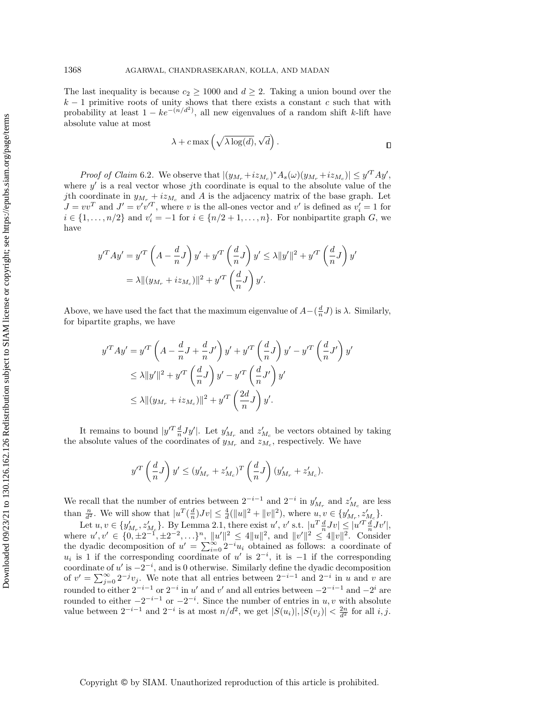The last inequality is because  $c_2 \geq 1000$  and  $d \geq 2$ . Taking a union bound over the  $k-1$  primitive roots of unity shows that there exists a constant c such that with probability at least  $1 - ke^{-(n/d^2)}$ , all new eigenvalues of a random shift k-lift have absolute value at most

$$
\lambda + c \max\left(\sqrt{\lambda \log(d)}, \sqrt{d}\right).
$$

*Proof of Claim* [6.2](#page-29-1). We observe that  $|(y_{M_r} + iz_{M_c})^* A_s(\omega)(y_{M_r} + iz_{M_c})| \leq y'^T A y'$ , where  $y'$  is a real vector whose jth coordinate is equal to the absolute value of the jth coordinate in  $y_{M_r} + iz_{M_c}$  and A is the adjacency matrix of the base graph. Let  $J = vv<sup>T</sup>$  and  $J' = v'v'^{T}$ , where v is the all-ones vector and v' is defined as  $v'_{i} = 1$  for  $i \in \{1, \ldots, n/2\}$  and  $v_i' = -1$  for  $i \in \{n/2 + 1, \ldots, n\}$ . For nonbipartite graph  $G$ , we have

$$
y'^T A y' = y'^T \left( A - \frac{d}{n} J \right) y' + y'^T \left( \frac{d}{n} J \right) y' \le \lambda \|y'\|^2 + y'^T \left( \frac{d}{n} J \right) y'
$$
  
=  $\lambda \| (y_{M_r} + iz_{M_c}) \|^2 + y'^T \left( \frac{d}{n} J \right) y'.$ 

Above, we have used the fact that the maximum eigenvalue of  $A - \left(\frac{d}{n}J\right)$  is  $\lambda$ . Similarly, for bipartite graphs, we have

$$
y'^T A y' = y'^T \left( A - \frac{d}{n} J + \frac{d}{n} J' \right) y' + y'^T \left( \frac{d}{n} J \right) y' - y'^T \left( \frac{d}{n} J' \right) y'
$$
  
\n
$$
\leq \lambda \|y'\|^2 + y'^T \left( \frac{d}{n} J \right) y' - y'^T \left( \frac{d}{n} J' \right) y'
$$
  
\n
$$
\leq \lambda \| (y_{M_r} + iz_{M_c}) \|^2 + y'^T \left( \frac{2d}{n} J \right) y'.
$$

It remains to bound  $|y'^T \frac{d}{n} Jy'|$ . Let  $y'_{M_r}$  and  $z'_{M_c}$  be vectors obtained by taking the absolute values of the coordinates of  $y_{M_r}$  and  $z_{M_c}$ , respectively. We have

$$
y'^T\left(\frac{d}{n}J\right)y'\leq (y'_{M_r}+z'_{M_c})^T\left(\frac{d}{n}J\right)(y'_{M_r}+z'_{M_c}).
$$

We recall that the number of entries between  $2^{-i-1}$  and  $2^{-i}$  in  $y'_{M_r}$  and  $z'_{M_c}$  are less than  $\frac{n}{d^2}$ . We will show that  $|u^T(\frac{d}{n})Jv| \leq \frac{4}{d}(\|u\|^2 + \|v\|^2)$ , where  $u, v \in \{y'_{M_r}, z'_{M_c}\}.$ 

Let  $u, v \in \{y'_{M_r}, z'_{M_c}\}\.$  By Lemma [2.1,](#page-6-0) there exist  $u', v'$  s.t.  $|u^T \frac{d}{n} Jv| \leq |u'^T \frac{d}{n} Jv'|$ , where  $u', v' \in \{0, \pm 2^{-1}, \pm 2^{-2}, \ldots\}^n$ ,  $||u'||^2 \le 4||u||^2$ , and  $||v'||^2 \le 4||v||^2$ . Consider the dyadic decomposition of  $u' = \sum_{i=0}^{\infty} 2^{-i}u_i$  obtained as follows: a coordinate of  $u_i$  is 1 if the corresponding coordinate of u' is  $2^{-i}$ , it is −1 if the corresponding coordinate of u' is  $-2^{-i}$ , and is 0 otherwise. Similarly define the dyadic decomposition of  $v' = \sum_{j=0}^{\infty} 2^{-j}v_j$ . We note that all entries between  $2^{-i-1}$  and  $2^{-i}$  in u and v are rounded to either  $2^{-i-1}$  or  $2^{-i}$  in u' and v' and all entries between  $-2^{-i-1}$  and  $-2^i$  are rounded to either  $-2^{-i-1}$  or  $-2^{-i}$ . Since the number of entries in u, v with absolute value between  $2^{-i-1}$  and  $2^{-i}$  is at most  $n/d^2$ , we get  $|S(u_i)|, |S(v_j)| < \frac{2n}{d^2}$  for all  $i, j$ .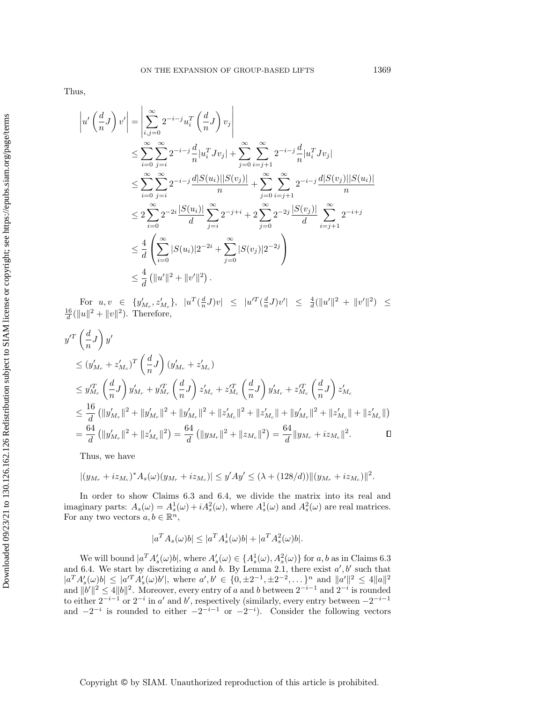Thus,

$$
\left|u'\left(\frac{d}{n}J\right)v'\right| = \left|\sum_{i,j=0}^{\infty} 2^{-i-j}u_i^T\left(\frac{d}{n}J\right)v_j\right|
$$
  
\n
$$
\leq \sum_{i=0}^{\infty} \sum_{j=i}^{\infty} 2^{-i-j} \frac{d}{n} |u_i^T J v_j| + \sum_{j=0}^{\infty} \sum_{i=j+1}^{\infty} 2^{-i-j} \frac{d}{n} |u_i^T J v_j|
$$
  
\n
$$
\leq \sum_{i=0}^{\infty} \sum_{j=i}^{\infty} 2^{-i-j} \frac{d|S(u_i)||S(v_j)|}{n} + \sum_{j=0}^{\infty} \sum_{i=j+1}^{\infty} 2^{-i-j} \frac{d|S(v_j)||S(u_i)|}{n}
$$
  
\n
$$
\leq 2 \sum_{i=0}^{\infty} 2^{-2i} \frac{|S(u_i)|}{d} \sum_{j=i}^{\infty} 2^{-j+i} + 2 \sum_{j=0}^{\infty} 2^{-2j} \frac{|S(v_j)|}{d} \sum_{i=j+1}^{\infty} 2^{-i+j}
$$
  
\n
$$
\leq \frac{4}{d} \left(\sum_{i=0}^{\infty} |S(u_i)| 2^{-2i} + \sum_{j=0}^{\infty} |S(v_j)| 2^{-2j}\right)
$$
  
\n
$$
\leq \frac{4}{d} \left(\left||u'\right||^2 + \left||v'\right||^2\right).
$$

For  $u, v \in \{y'_{M_r}, z'_{M_c}\}, |u^T(\frac{d}{n}J)v| \leq |u'^T(\frac{d}{n}J)v'| \leq \frac{4}{d}(\|u'\|^2 + \|v'\|^2) \leq$  $\frac{16}{d}(\|u\|^2 + \|v\|^2)$ . Therefore,

$$
y'^{T} \left(\frac{d}{n}J\right) y'
$$
  
\n
$$
\leq (y'_{M_r} + z'_{M_c})^{T} \left(\frac{d}{n}J\right) (y'_{M_r} + z'_{M_c})
$$
  
\n
$$
\leq y'^{T}_{M_r} \left(\frac{d}{n}J\right) y'_{M_r} + y'^{T}_{M_r} \left(\frac{d}{n}J\right) z'_{M_c} + z'^{T}_{M_c} \left(\frac{d}{n}J\right) y'_{M_r} + z'^{T}_{M_c} \left(\frac{d}{n}J\right) z'_{M_c}
$$
  
\n
$$
\leq \frac{16}{d} (\|y'_{M_r}\|^2 + \|y'_{M_r}\|^2 + \|y'_{M_r}\|^2 + \|z'_{M_c}\|^2 + \|z'_{M_c}\| + \|y'_{M_r}\|^2 + \|z'_{M_c}\| + \|z'_{M_c}\|)
$$
  
\n
$$
= \frac{64}{d} (\|y'_{M_r}\|^2 + \|z'_{M_c}\|^2) = \frac{64}{d} (\|y_{M_r}\|^2 + \|z_{M_c}\|^2) = \frac{64}{d} \|y_{M_r} + iz_{M_c}\|^2.
$$

Thus, we have

$$
|(y_{M_r} + iz_{M_c})^* A_s(\omega)(y_{M_r} + iz_{M_c})| \le y'Ay' \le (\lambda + (128/d)) ||(y_{M_r} + iz_{M_c})||^2.
$$

In order to show Claims [6.3](#page-29-2) and [6.4,](#page-29-3) we divide the matrix into its real and imaginary parts:  $A_s(\omega) = A_s^1(\omega) + iA_s^2(\omega)$ , where  $A_s^1(\omega)$  and  $A_s^2(\omega)$  are real matrices. For any two vectors  $a, b \in \mathbb{R}^n$ ,

$$
|a^T A_s(\omega)b| \le |a^T A_s^1(\omega)b| + |a^T A_s^2(\omega)b|.
$$

We will bound  $|a^T A'_s(\omega) b|$ , where  $A'_s(\omega) \in \{A_s^1(\omega), A_s^2(\omega)\}\$  for a, b as in Claims [6.3](#page-29-2) and [6.4.](#page-29-3) We start by discretizing a and b. By Lemma [2.1,](#page-6-0) there exist  $a', b'$  such that  $|a^T A'_s(\omega) b| \le |a'^T A'_s(\omega) b'|$ , where  $a', b' \in \{0, \pm 2^{-1}, \pm 2^{-2}, \dots\}^n$  and  $||a'||^2 \le 4||a||^2$ and  $||b'||^2 \leq 4||b||^2$ . Moreover, every entry of a and b between  $2^{-i-1}$  and  $2^{-i}$  is rounded to either  $2^{-i-1}$  or  $2^{-i}$  in a' and b', respectively (similarly, every entry between  $-2^{-i-1}$ and  $-2^{-i}$  is rounded to either  $-2^{-i-1}$  or  $-2^{-i}$ ). Consider the following vectors

Copyright © by SIAM. Unauthorized reproduction of this article is prohibited.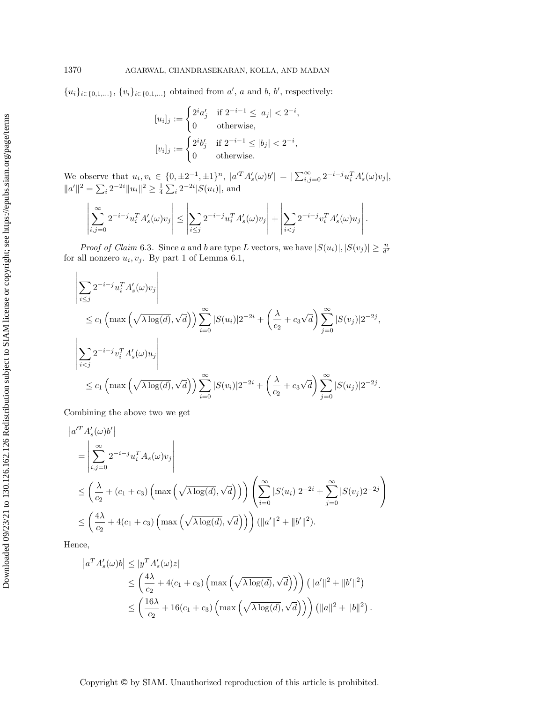${u_i}_{i \in \{0,1,...\}, \{v_i\}_{i \in \{0,1,...\}}$  obtained from  $a'$ , a and b, b', respectively:

$$
[u_i]_j := \begin{cases} 2^i a'_j & \text{if } 2^{-i-1} \le |a_j| < 2^{-i}, \\ 0 & \text{otherwise}, \end{cases}
$$

$$
[v_i]_j := \begin{cases} 2^i b'_j & \text{if } 2^{-i-1} \le |b_j| < 2^{-i}, \\ 0 & \text{otherwise}. \end{cases}
$$

We observe that  $u_i, v_i \in \{0, \pm 2^{-1}, \pm 1\}^n$ ,  $|a'^T A'_s(\omega) b'| = |\sum_{i,j=0}^{\infty} 2^{-i-j} u_i^T A'_s(\omega) v_j|$ ,  $||a'||^2 = \sum_i 2^{-2i} ||u_i||^2 \ge \frac{1}{4} \sum_i 2^{-2i} |S(u_i)|$ , and

$$
\left|\sum_{i,j=0}^{\infty} 2^{-i-j} u_i^T A_s'(\omega) v_j\right| \le \left|\sum_{i\le j} 2^{-i-j} u_i^T A_s'(\omega) v_j\right| + \left|\sum_{i
$$

*Proof of Claim* [6.3](#page-29-2). Since a and b are type L vectors, we have  $|S(u_i)|, |S(v_j)| \geq \frac{n}{d^2}$ for all nonzero  $u_i, v_j$ . By part 1 of Lemma [6.1,](#page-27-1)

$$
\left| \sum_{i \leq j} 2^{-i-j} u_i^T A_s'(\omega) v_j \right|
$$
  
\n
$$
\leq c_1 \left( \max \left( \sqrt{\lambda \log(d)}, \sqrt{d} \right) \right) \sum_{i=0}^{\infty} |S(u_i)| 2^{-2i} + \left( \frac{\lambda}{c_2} + c_3 \sqrt{d} \right) \sum_{j=0}^{\infty} |S(v_j)| 2^{-2j},
$$
  
\n
$$
\left| \sum_{i < j} 2^{-i-j} v_i^T A_s'(\omega) u_j \right|
$$
  
\n
$$
\leq c_1 \left( \max \left( \sqrt{\lambda \log(d)}, \sqrt{d} \right) \right) \sum_{i=0}^{\infty} |S(v_i)| 2^{-2i} + \left( \frac{\lambda}{c_2} + c_3 \sqrt{d} \right) \sum_{j=0}^{\infty} |S(u_j)| 2^{-2j}.
$$

Combining the above two we get

$$
|a'^T A'_s(\omega) b'|
$$
  
\n
$$
= \left| \sum_{i,j=0}^{\infty} 2^{-i-j} u_i^T A_s(\omega) v_j \right|
$$
  
\n
$$
\leq \left( \frac{\lambda}{c_2} + (c_1 + c_3) \left( \max \left( \sqrt{\lambda \log(d)}, \sqrt{d} \right) \right) \right) \left( \sum_{i=0}^{\infty} |S(u_i)| 2^{-2i} + \sum_{j=0}^{\infty} |S(v_j) 2^{-2j} \right) \right)
$$
  
\n
$$
\leq \left( \frac{4\lambda}{c_2} + 4(c_1 + c_3) \left( \max \left( \sqrt{\lambda \log(d)}, \sqrt{d} \right) \right) \right) (||a'||^2 + ||b'||^2).
$$

Hence,

$$
\begin{split} \left| a^T A'_s(\omega) b \right| &\leq \left| y^T A'_s(\omega) z \right| \\ &\leq \left( \frac{4\lambda}{c_2} + 4(c_1 + c_3) \left( \max\left( \sqrt{\lambda \log(d)}, \sqrt{d} \right) \right) \right) \left( \|a'\|^2 + \|b'\|^2 \right) \\ &\leq \left( \frac{16\lambda}{c_2} + 16(c_1 + c_3) \left( \max\left( \sqrt{\lambda \log(d)}, \sqrt{d} \right) \right) \right) \left( \|a\|^2 + \|b\|^2 \right). \end{split}
$$

 $\mathbf{I}$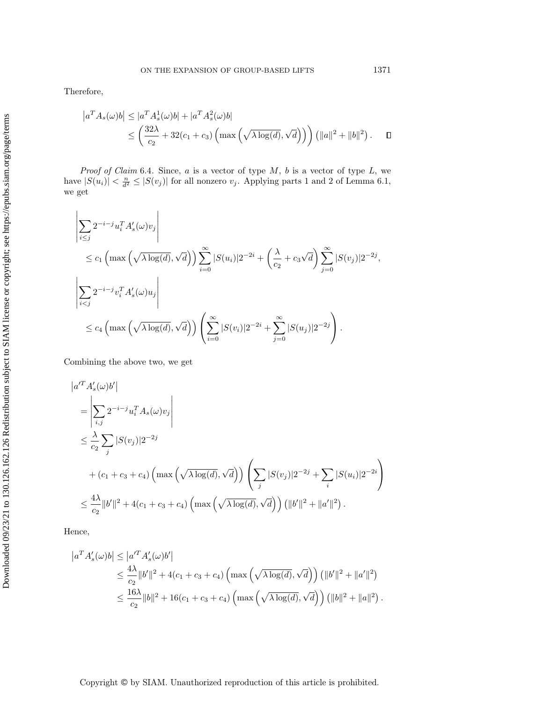Therefore,

$$
\begin{aligned} \left| a^T A_s(\omega) b \right| &\leq |a^T A_s^1(\omega) b| + |a^T A_s^2(\omega) b| \\ &\leq \left( \frac{32\lambda}{c_2} + 32(c_1 + c_3) \left( \max\left( \sqrt{\lambda \log(d)}, \sqrt{d} \right) \right) \right) \left( \|a\|^2 + \|b\|^2 \right). \end{aligned} \tag{1.12}
$$

*Proof of Claim* [6.4](#page-29-3). Since,  $a$  is a vector of type  $M$ ,  $b$  is a vector of type  $L$ , we have  $|S(u_i)| < \frac{n}{d^2} \leq |S(v_j)|$  for all nonzero  $v_j$ . Applying parts 1 and 2 of Lemma [6.1,](#page-27-1) we get

$$
\left| \sum_{i \leq j} 2^{-i-j} u_i^T A_s'(\omega) v_j \right|
$$
  
\n
$$
\leq c_1 \left( \max \left( \sqrt{\lambda \log(d)}, \sqrt{d} \right) \right) \sum_{i=0}^{\infty} |S(u_i)| 2^{-2i} + \left( \frac{\lambda}{c_2} + c_3 \sqrt{d} \right) \sum_{j=0}^{\infty} |S(v_j)| 2^{-2j},
$$
  
\n
$$
\left| \sum_{i < j} 2^{-i-j} v_i^T A_s'(\omega) u_j \right|
$$
  
\n
$$
\leq c_4 \left( \max \left( \sqrt{\lambda \log(d)}, \sqrt{d} \right) \right) \left( \sum_{i=0}^{\infty} |S(v_i)| 2^{-2i} + \sum_{j=0}^{\infty} |S(u_j)| 2^{-2j} \right).
$$

Combining the above two, we get

$$
\begin{split}\n&\left| a'^T A'_s(\omega) b' \right| \\
&= \left| \sum_{i,j} 2^{-i-j} u_i^T A_s(\omega) v_j \right| \\
&\leq \frac{\lambda}{c_2} \sum_j |S(v_j)| 2^{-2j} \\
&\quad + (c_1 + c_3 + c_4) \left( \max \left( \sqrt{\lambda \log(d)}, \sqrt{d} \right) \right) \left( \sum_j |S(v_j)| 2^{-2j} + \sum_i |S(u_i)| 2^{-2i} \right) \\
&\leq \frac{4\lambda}{c_2} \|b'\|^2 + 4(c_1 + c_3 + c_4) \left( \max \left( \sqrt{\lambda \log(d)}, \sqrt{d} \right) \right) \left( \|b'\|^2 + \|a'\|^2 \right).\n\end{split}
$$

Hence,

$$
|a^T A'_s(\omega) b| \le |a'^T A'_s(\omega) b'|
$$
  
\n
$$
\le \frac{4\lambda}{c_2} \|b'\|^2 + 4(c_1 + c_3 + c_4) \left( \max\left(\sqrt{\lambda \log(d)}, \sqrt{d}\right) \right) \left( \|b'\|^2 + \|a'\|^2 \right)
$$
  
\n
$$
\le \frac{16\lambda}{c_2} \|b\|^2 + 16(c_1 + c_3 + c_4) \left( \max\left(\sqrt{\lambda \log(d)}, \sqrt{d}\right) \right) \left( \|b\|^2 + \|a\|^2 \right)
$$

Copyright © by SIAM. Unauthorized reproduction of this article is prohibited.

.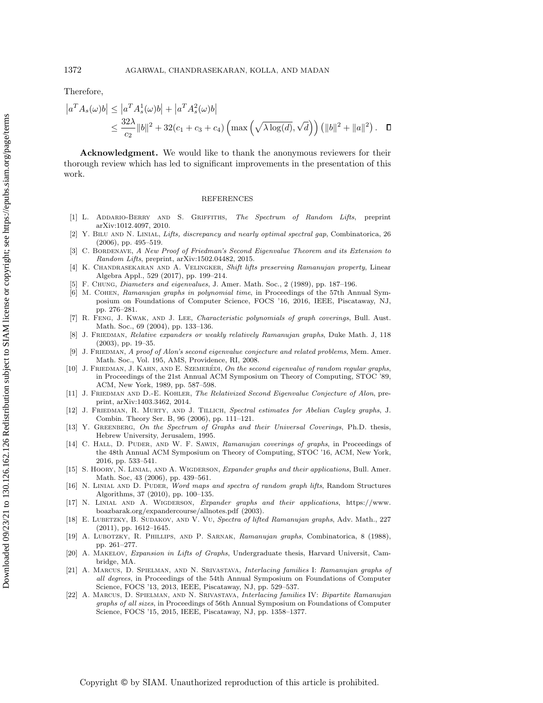Therefore,

$$
|a^T A_s(\omega)b| \le |a^T A_s^1(\omega)b| + |a^T A_s^2(\omega)b|
$$
  
 
$$
\le \frac{32\lambda}{c_2} ||b||^2 + 32(c_1 + c_3 + c_4) \left( \max\left(\sqrt{\lambda \log(d)}, \sqrt{d}\right) \right) (||b||^2 + ||a||^2).
$$

Acknowledgment. We would like to thank the anonymous reviewers for their thorough review which has led to significant improvements in the presentation of this work.

## REFERENCES

- <span id="page-34-11"></span>[1] L. Addario-Berry and S. Griffiths, The Spectrum of Random Lifts, preprint arXiv:1012.4097, 2010.
- <span id="page-34-13"></span>[2] Y. BILU AND N. LINIAL, Lifts, discrepancy and nearly optimal spectral gap, Combinatorica, 26 (2006), pp. 495–519.
- <span id="page-34-6"></span>C. BORDENAVE, A New Proof of Friedman's Second Eigenvalue Theorem and its Extension to Random Lifts, preprint, arXiv:1502.04482, 2015.
- <span id="page-34-17"></span>[4] K. CHANDRASEKARAN AND A. VELINGKER, Shift lifts preserving Ramanujan property, Linear Algebra Appl., 529 (2017), pp. 199–214.
- <span id="page-34-21"></span>[5] F. Chung, Diameters and eigenvalues, J. Amer. Math. Soc., 2 (1989), pp. 187–196.
- <span id="page-34-4"></span>[6] M. COHEN, Ramanujan graphs in polynomial time, in Proceedings of the 57th Annual Symposium on Foundations of Computer Science, FOCS '16, 2016, IEEE, Piscataway, NJ, pp. 276–281.
- <span id="page-34-14"></span>[7] R. Feng, J. Kwak, and J. Lee, Characteristic polynomials of graph coverings, Bull. Aust. Math. Soc., 69 (2004), pp. 133–136.
- <span id="page-34-7"></span>[8] J. FRIEDMAN, Relative expanders or weakly relatively Ramanujan graphs, Duke Math. J, 118 (2003), pp. 19–35.
- <span id="page-34-5"></span>[9] J. FRIEDMAN, A proof of Alon's second eigenvalue conjecture and related problems, Mem. Amer. Math. Soc., Vol. 195, AMS, Providence, RI, 2008.
- <span id="page-34-16"></span>[10] J. FRIEDMAN, J. KAHN, AND E. SZEMERÉDI, On the second eigenvalue of random regular graphs, in Proceedings of the 21st Annual ACM Symposium on Theory of Computing, STOC '89, ACM, New York, 1989, pp. 587–598.
- <span id="page-34-12"></span>[11] J. FRIEDMAN AND D.-E. KOHLER, The Relativized Second Eigenvalue Conjecture of Alon, preprint, arXiv:1403.3462, 2014.
- <span id="page-34-19"></span>[12] J. FRIEDMAN, R. MURTY, AND J. TILLICH, Spectral estimates for Abelian Cayley graphs, J. Combin. Theory Ser. B, 96 (2006), pp. 111–121.
- <span id="page-34-8"></span>[13] Y. GREENBERG, On the Spectrum of Graphs and their Universal Coverings, Ph.D. thesis, Hebrew University, Jerusalem, 1995.
- <span id="page-34-15"></span>[14] C. HALL, D. PUDER, AND W. F. SAWIN, Ramanujan coverings of graphs, in Proceedings of the 48th Annual ACM Symposium on Theory of Computing, STOC '16, ACM, New York, 2016, pp. 533–541.
- <span id="page-34-0"></span>[15] S. HOORY, N. LINIAL, AND A. WIGDERSON, Expander graphs and their applications, Bull. Amer. Math. Soc, 43 (2006), pp. 439–561.
- <span id="page-34-9"></span>[16] N. LINIAL AND D. PUDER, Word maps and spectra of random graph lifts, Random Structures Algorithms, 37 (2010), pp. 100–135.
- <span id="page-34-20"></span>[17] N. Linial and A. Wigderson, Expander graphs and their applications, [https://www.](https://www.boazbarak.org/expandercourse/allnotes.pdf) [boazbarak.org/expandercourse/allnotes.pdf](https://www.boazbarak.org/expandercourse/allnotes.pdf) (2003).
- <span id="page-34-10"></span>[18] E. LUBETZKY, B. SUDAKOV, AND V. VU, Spectra of lifted Ramanujan graphs, Adv. Math., 227 (2011), pp. 1612–1645.
- <span id="page-34-1"></span>[19] A. Lubotzky, R. Phillips, and P. Sarnak, Ramanujan graphs, Combinatorica, 8 (1988), pp. 261–277.
- <span id="page-34-18"></span>[20] A. Makelov, Expansion in Lifts of Graphs, Undergraduate thesis, Harvard Universit, Cambridge, MA.
- <span id="page-34-2"></span>[21] A. Marcus, D. Spielman, and N. Srivastava, Interlacing families I: Ramanujan graphs of all degrees, in Proceedings of the 54th Annual Symposium on Foundations of Computer Science, FOCS '13, 2013, IEEE, Piscataway, NJ, pp. 529–537.
- <span id="page-34-3"></span>[22] A. Marcus, D. Spielman, and N. Srivastava, Interlacing families IV: Bipartite Ramanujan graphs of all sizes, in Proceedings of 56th Annual Symposium on Foundations of Computer Science, FOCS '15, 2015, IEEE, Piscataway, NJ, pp. 1358–1377.